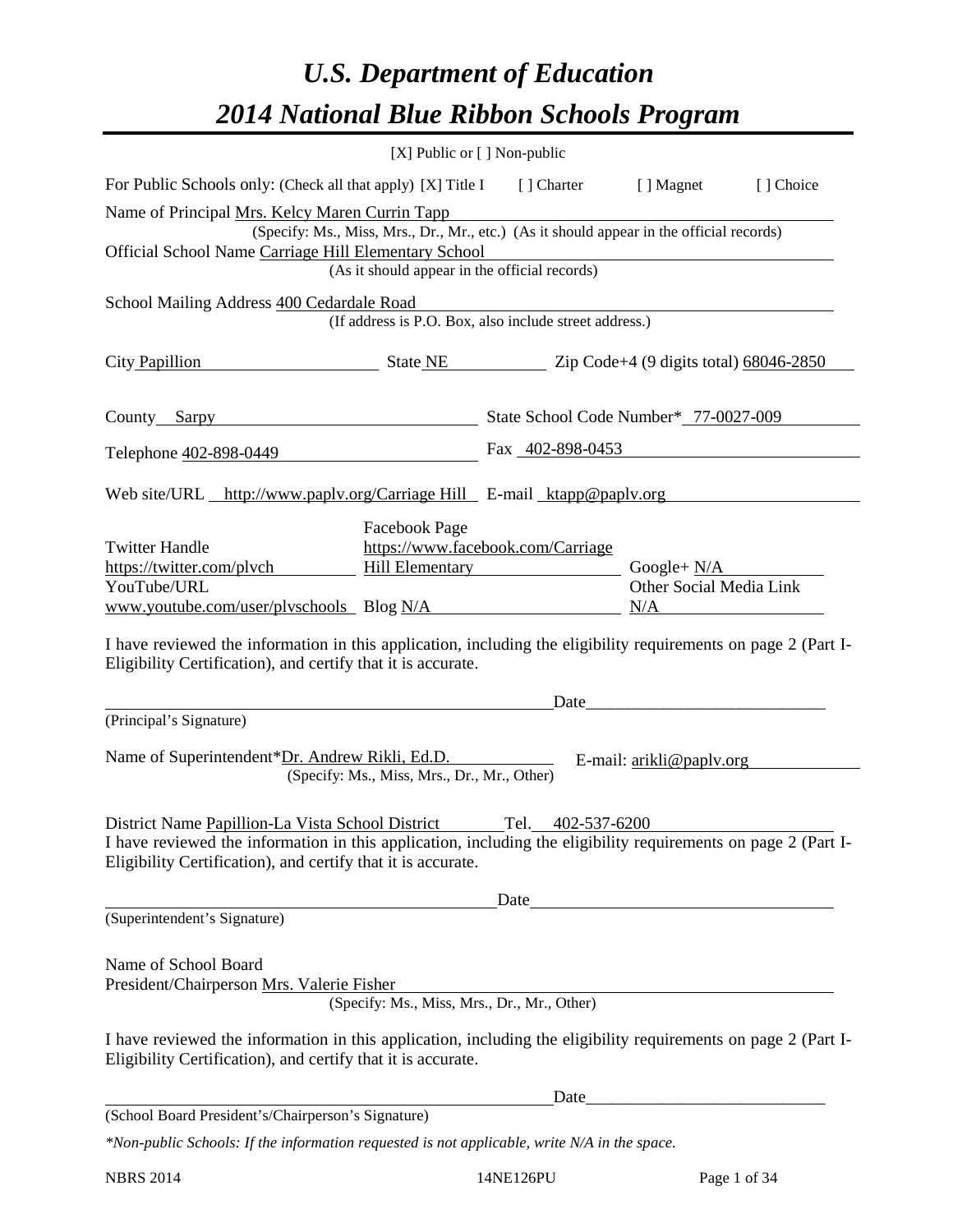# *U.S. Department of Education 2014 National Blue Ribbon Schools Program*

|                                                                                                                                                                                                                                                                                                 | [X] Public or [] Non-public                                                                                                               |                                                 |                                                 |           |
|-------------------------------------------------------------------------------------------------------------------------------------------------------------------------------------------------------------------------------------------------------------------------------------------------|-------------------------------------------------------------------------------------------------------------------------------------------|-------------------------------------------------|-------------------------------------------------|-----------|
| For Public Schools only: (Check all that apply) [X] Title I                                                                                                                                                                                                                                     |                                                                                                                                           | [] Charter [] Magnet                            |                                                 | [] Choice |
| Name of Principal Mrs. Kelcy Maren Currin Tapp<br>Official School Name Carriage Hill Elementary School                                                                                                                                                                                          | (Specify: Ms., Miss, Mrs., Dr., Mr., etc.) (As it should appear in the official records)<br>(As it should appear in the official records) |                                                 |                                                 |           |
| School Mailing Address 400 Cedardale Road                                                                                                                                                                                                                                                       | (If address is P.O. Box, also include street address.)                                                                                    |                                                 |                                                 |           |
| City Papillion                                                                                                                                                                                                                                                                                  |                                                                                                                                           | State NE Zip Code+4 (9 digits total) 68046-2850 |                                                 |           |
| County Sarpy                                                                                                                                                                                                                                                                                    |                                                                                                                                           | State School Code Number* 77-0027-009           |                                                 |           |
| Telephone 402-898-0449                                                                                                                                                                                                                                                                          |                                                                                                                                           | Fax 402-898-0453                                |                                                 |           |
| Web site/URL http://www.paplv.org/Carriage Hill E-mail ktapp@paplv.org                                                                                                                                                                                                                          |                                                                                                                                           |                                                 |                                                 |           |
| <b>Twitter Handle</b><br>https://twitter.com/plvch<br>YouTube/URL<br>www.youtube.com/user/plyschools Blog N/A<br>I have reviewed the information in this application, including the eligibility requirements on page 2 (Part I-<br>Eligibility Certification), and certify that it is accurate. | Facebook Page<br><b>Hill Elementary</b>                                                                                                   | https://www.facebook.com/Carriage               | Google+ $N/A$<br>Other Social Media Link<br>N/A |           |
|                                                                                                                                                                                                                                                                                                 |                                                                                                                                           | Date                                            |                                                 |           |
| (Principal's Signature)<br>Name of Superintendent*Dr. Andrew Rikli, Ed.D.                                                                                                                                                                                                                       | (Specify: Ms., Miss, Mrs., Dr., Mr., Other)                                                                                               |                                                 | E-mail: $\frac{arikli@paplv.org}{2}$            |           |
| District Name Papillion-La Vista School District<br>I have reviewed the information in this application, including the eligibility requirements on page 2 (Part I-<br>Eligibility Certification), and certify that it is accurate.                                                              |                                                                                                                                           | Tel.<br>402-537-6200                            |                                                 |           |
| (Superintendent's Signature)                                                                                                                                                                                                                                                                    |                                                                                                                                           | Date                                            |                                                 |           |
| Name of School Board<br>President/Chairperson Mrs. Valerie Fisher<br>I have reviewed the information in this application, including the eligibility requirements on page 2 (Part I-                                                                                                             | (Specify: Ms., Miss, Mrs., Dr., Mr., Other)                                                                                               |                                                 |                                                 |           |
| Eligibility Certification), and certify that it is accurate.                                                                                                                                                                                                                                    |                                                                                                                                           |                                                 |                                                 |           |
|                                                                                                                                                                                                                                                                                                 |                                                                                                                                           | Date                                            |                                                 |           |
| (School Board President's/Chairperson's Signature)<br>*Non-public Schools: If the information requested is not applicable, write N/A in the space.                                                                                                                                              |                                                                                                                                           |                                                 |                                                 |           |
|                                                                                                                                                                                                                                                                                                 |                                                                                                                                           |                                                 |                                                 |           |

NBRS 2014 14NE126PU Page 1 of 34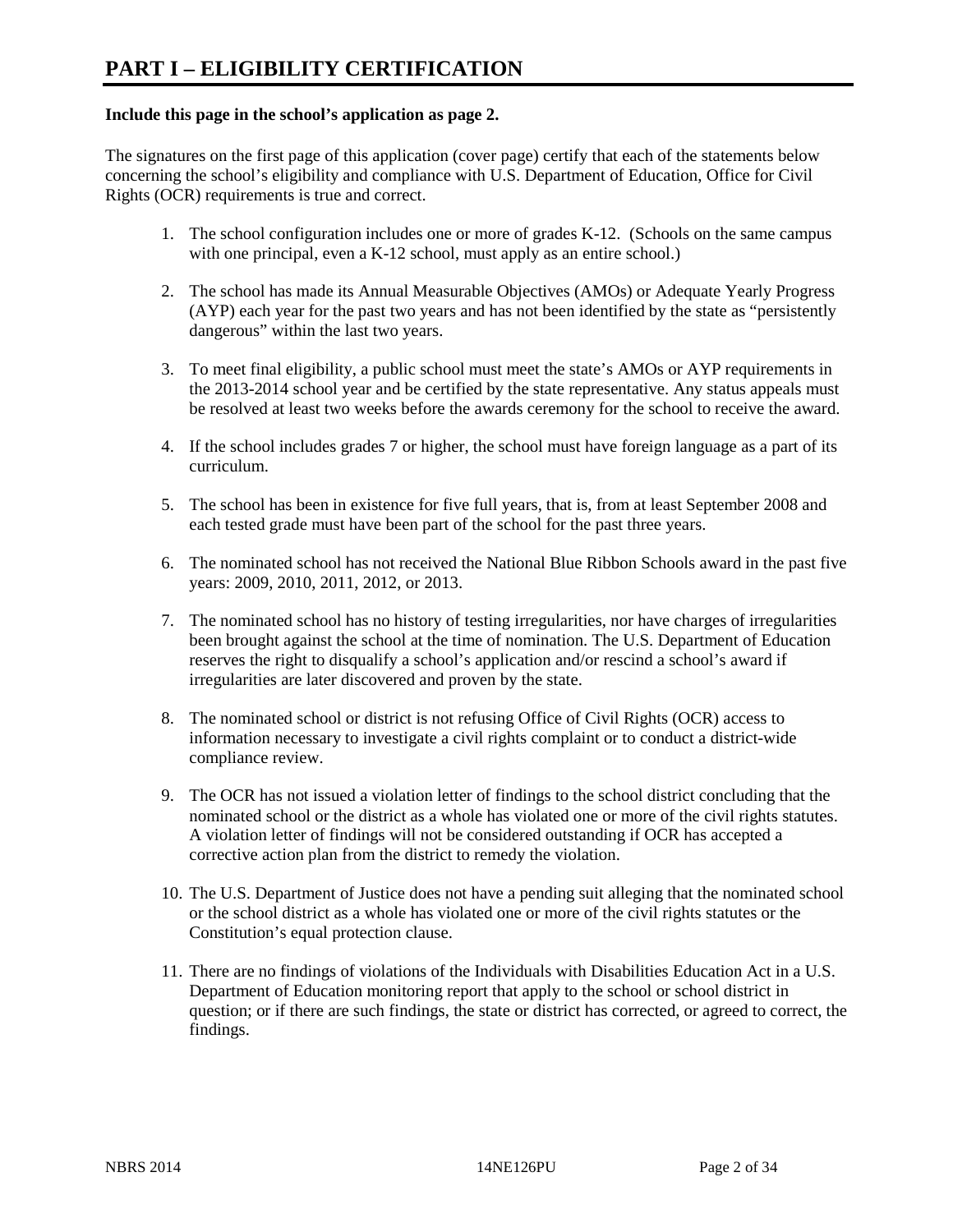#### **Include this page in the school's application as page 2.**

The signatures on the first page of this application (cover page) certify that each of the statements below concerning the school's eligibility and compliance with U.S. Department of Education, Office for Civil Rights (OCR) requirements is true and correct.

- 1. The school configuration includes one or more of grades K-12. (Schools on the same campus with one principal, even a K-12 school, must apply as an entire school.)
- 2. The school has made its Annual Measurable Objectives (AMOs) or Adequate Yearly Progress (AYP) each year for the past two years and has not been identified by the state as "persistently dangerous" within the last two years.
- 3. To meet final eligibility, a public school must meet the state's AMOs or AYP requirements in the 2013-2014 school year and be certified by the state representative. Any status appeals must be resolved at least two weeks before the awards ceremony for the school to receive the award.
- 4. If the school includes grades 7 or higher, the school must have foreign language as a part of its curriculum.
- 5. The school has been in existence for five full years, that is, from at least September 2008 and each tested grade must have been part of the school for the past three years.
- 6. The nominated school has not received the National Blue Ribbon Schools award in the past five years: 2009, 2010, 2011, 2012, or 2013.
- 7. The nominated school has no history of testing irregularities, nor have charges of irregularities been brought against the school at the time of nomination. The U.S. Department of Education reserves the right to disqualify a school's application and/or rescind a school's award if irregularities are later discovered and proven by the state.
- 8. The nominated school or district is not refusing Office of Civil Rights (OCR) access to information necessary to investigate a civil rights complaint or to conduct a district-wide compliance review.
- 9. The OCR has not issued a violation letter of findings to the school district concluding that the nominated school or the district as a whole has violated one or more of the civil rights statutes. A violation letter of findings will not be considered outstanding if OCR has accepted a corrective action plan from the district to remedy the violation.
- 10. The U.S. Department of Justice does not have a pending suit alleging that the nominated school or the school district as a whole has violated one or more of the civil rights statutes or the Constitution's equal protection clause.
- 11. There are no findings of violations of the Individuals with Disabilities Education Act in a U.S. Department of Education monitoring report that apply to the school or school district in question; or if there are such findings, the state or district has corrected, or agreed to correct, the findings.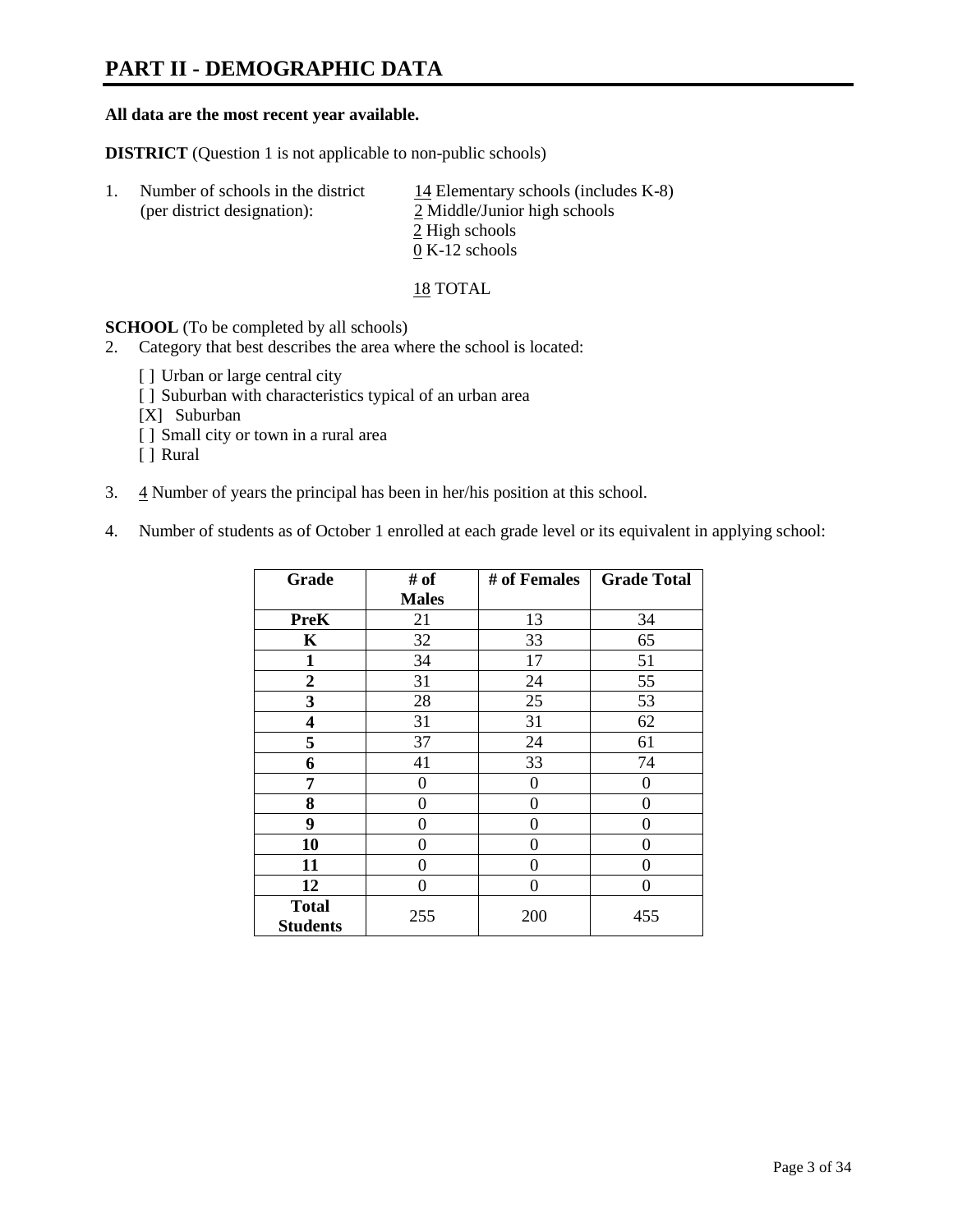# **PART II - DEMOGRAPHIC DATA**

#### **All data are the most recent year available.**

**DISTRICT** (Question 1 is not applicable to non-public schools)

| Number of schools in the district<br>(per district designation): | 14 Elementary schools (includes $K-8$ )<br>2 Middle/Junior high schools |
|------------------------------------------------------------------|-------------------------------------------------------------------------|
|                                                                  | 2 High schools                                                          |
|                                                                  | $0 K-12$ schools                                                        |

18 TOTAL

**SCHOOL** (To be completed by all schools)

- 2. Category that best describes the area where the school is located:
	- [] Urban or large central city
	- [ ] Suburban with characteristics typical of an urban area
	- [X] Suburban
	- [ ] Small city or town in a rural area
	- [ ] Rural
- 3.  $\frac{4}{3}$  Number of years the principal has been in her/his position at this school.
- 4. Number of students as of October 1 enrolled at each grade level or its equivalent in applying school:

| Grade                           | # of         | # of Females | <b>Grade Total</b> |
|---------------------------------|--------------|--------------|--------------------|
|                                 | <b>Males</b> |              |                    |
| <b>PreK</b>                     | 21           | 13           | 34                 |
| K                               | 32           | 33           | 65                 |
| $\mathbf{1}$                    | 34           | 17           | 51                 |
| $\overline{2}$                  | 31           | 24           | 55                 |
| 3                               | 28           | 25           | 53                 |
| 4                               | 31           | 31           | 62                 |
| 5                               | 37           | 24           | 61                 |
| 6                               | 41           | 33           | 74                 |
| 7                               | 0            | $\theta$     | 0                  |
| 8                               | 0            | 0            | 0                  |
| 9                               | 0            | 0            | 0                  |
| 10                              | 0            | 0            | 0                  |
| 11                              | 0            | 0            | 0                  |
| 12                              | 0            | 0            | 0                  |
| <b>Total</b><br><b>Students</b> | 255          | 200          | 455                |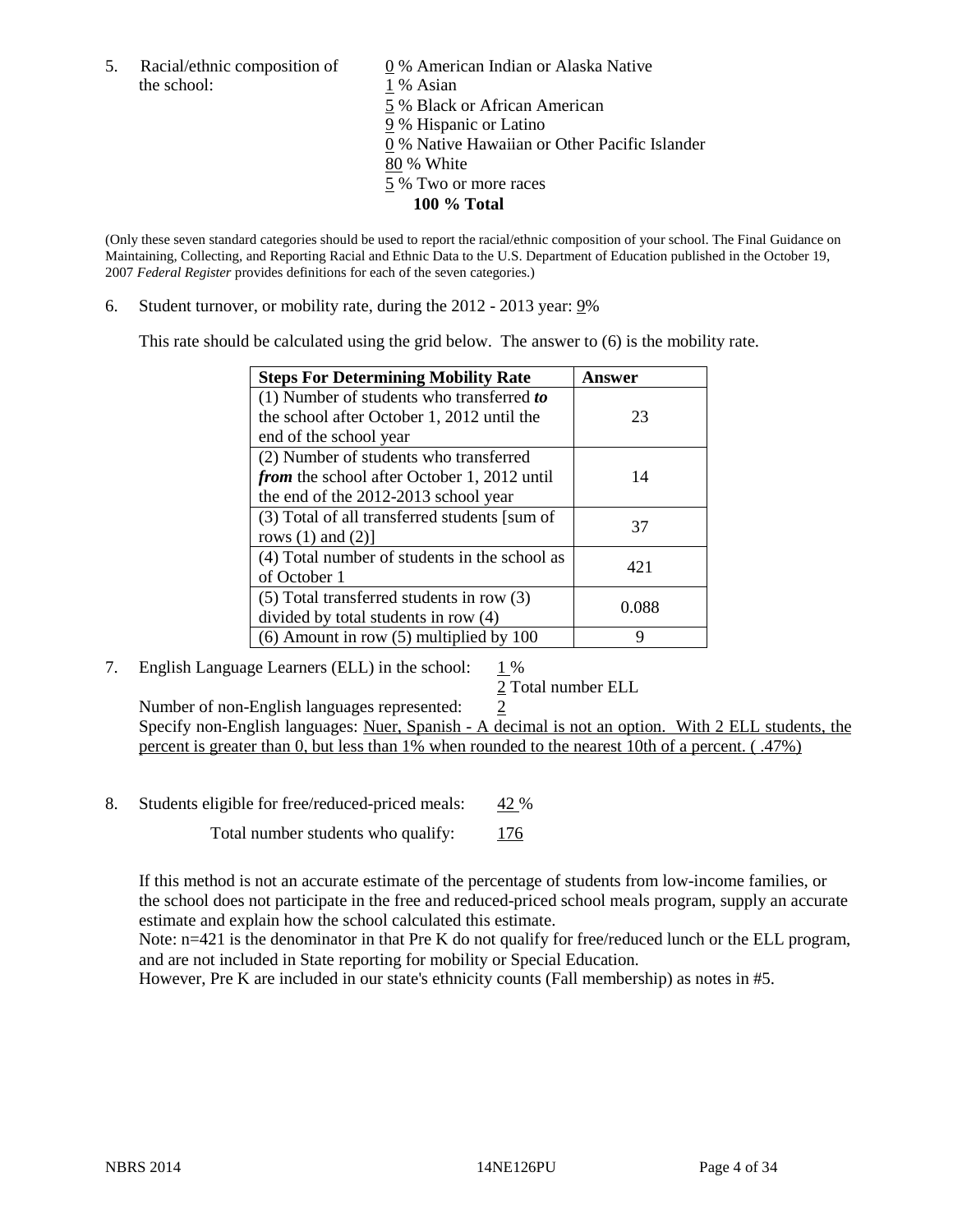5. Racial/ethnic composition of 0 % American Indian or Alaska Native the school: 1 % Asian

 5 % Black or African American 9 % Hispanic or Latino 0 % Native Hawaiian or Other Pacific Islander 80 % White 5 % Two or more races **100 % Total** 

(Only these seven standard categories should be used to report the racial/ethnic composition of your school. The Final Guidance on Maintaining, Collecting, and Reporting Racial and Ethnic Data to the U.S. Department of Education published in the October 19, 2007 *Federal Register* provides definitions for each of the seven categories.)

6. Student turnover, or mobility rate, during the 2012 - 2013 year: 9%

This rate should be calculated using the grid below. The answer to (6) is the mobility rate.

| <b>Steps For Determining Mobility Rate</b>    | Answer |
|-----------------------------------------------|--------|
| (1) Number of students who transferred to     |        |
| the school after October 1, 2012 until the    | 23     |
| end of the school year                        |        |
| (2) Number of students who transferred        |        |
| from the school after October 1, 2012 until   | 14     |
| the end of the 2012-2013 school year          |        |
| (3) Total of all transferred students [sum of | 37     |
| rows $(1)$ and $(2)$ ]                        |        |
| (4) Total number of students in the school as | 421    |
| of October 1                                  |        |
| $(5)$ Total transferred students in row $(3)$ | 0.088  |
| divided by total students in row (4)          |        |
| $(6)$ Amount in row $(5)$ multiplied by 100   | q      |

7. English Language Learners (ELL) in the school:  $1\%$ 

2 Total number ELL

Number of non-English languages represented: 2 Specify non-English languages: Nuer, Spanish - A decimal is not an option. With 2 ELL students, the percent is greater than 0, but less than 1% when rounded to the nearest 10th of a percent. ( .47%)

8. Students eligible for free/reduced-priced meals:  $42\%$ 

Total number students who qualify: 176

If this method is not an accurate estimate of the percentage of students from low-income families, or the school does not participate in the free and reduced-priced school meals program, supply an accurate estimate and explain how the school calculated this estimate.

Note:  $n=421$  is the denominator in that Pre K do not qualify for free/reduced lunch or the ELL program, and are not included in State reporting for mobility or Special Education.

However, Pre K are included in our state's ethnicity counts (Fall membership) as notes in #5.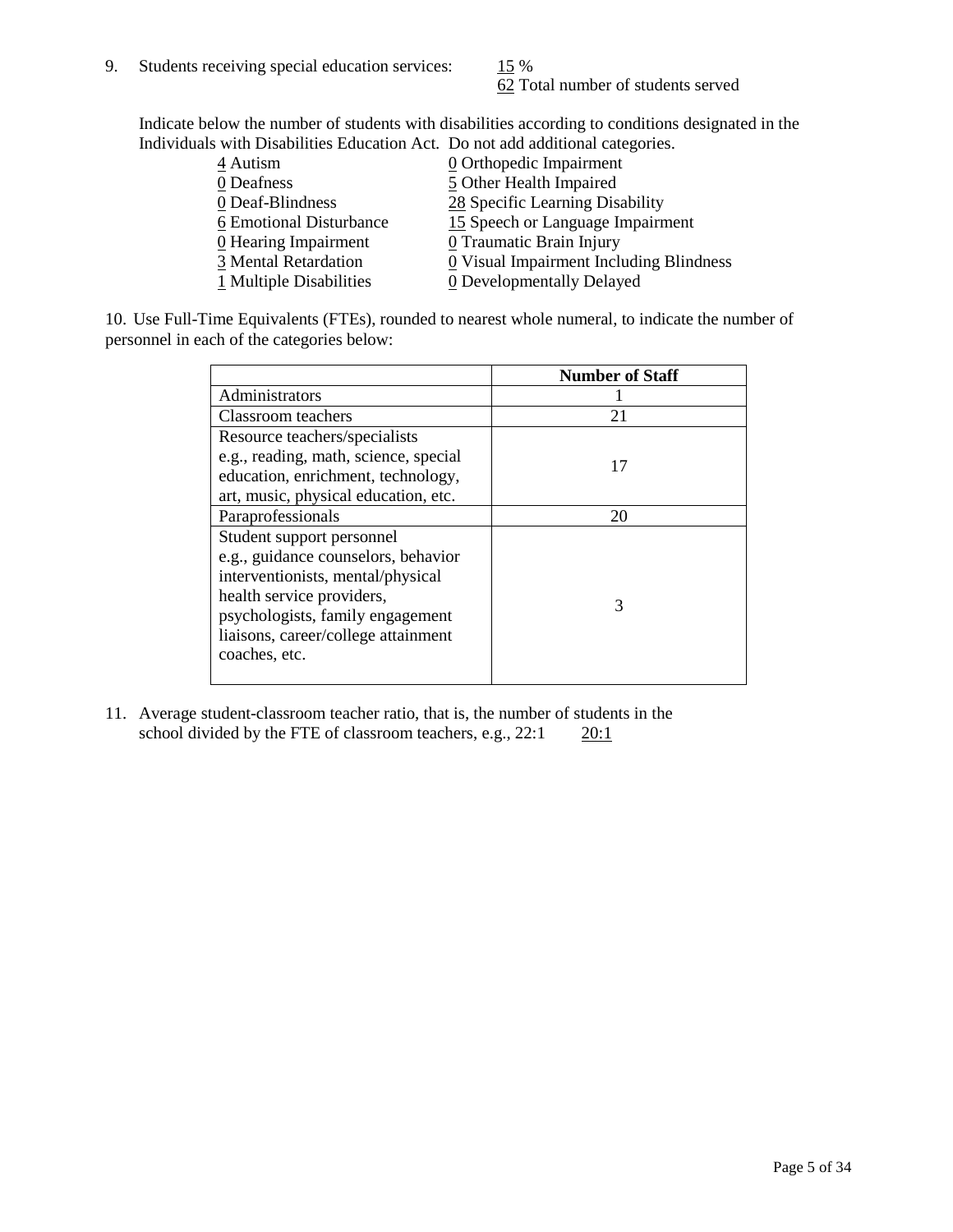62 Total number of students served

Indicate below the number of students with disabilities according to conditions designated in the Individuals with Disabilities Education Act. Do not add additional categories.

| 4 Autism                | $\underline{0}$ Orthopedic Impairment   |
|-------------------------|-----------------------------------------|
| 0 Deafness              | 5 Other Health Impaired                 |
| 0 Deaf-Blindness        | 28 Specific Learning Disability         |
| 6 Emotional Disturbance | 15 Speech or Language Impairment        |
| 0 Hearing Impairment    | 0 Traumatic Brain Injury                |
| 3 Mental Retardation    | 0 Visual Impairment Including Blindness |
| 1 Multiple Disabilities | 0 Developmentally Delayed               |
|                         |                                         |

10. Use Full-Time Equivalents (FTEs), rounded to nearest whole numeral, to indicate the number of personnel in each of the categories below:

|                                       | <b>Number of Staff</b> |
|---------------------------------------|------------------------|
| Administrators                        |                        |
| Classroom teachers                    | 21                     |
| Resource teachers/specialists         |                        |
| e.g., reading, math, science, special | 17                     |
| education, enrichment, technology,    |                        |
| art, music, physical education, etc.  |                        |
| Paraprofessionals                     | 20                     |
| Student support personnel             |                        |
| e.g., guidance counselors, behavior   |                        |
| interventionists, mental/physical     |                        |
| health service providers,             | 3                      |
| psychologists, family engagement      |                        |
| liaisons, career/college attainment   |                        |
| coaches, etc.                         |                        |
|                                       |                        |

11. Average student-classroom teacher ratio, that is, the number of students in the school divided by the FTE of classroom teachers, e.g.,  $22:1$   $20:1$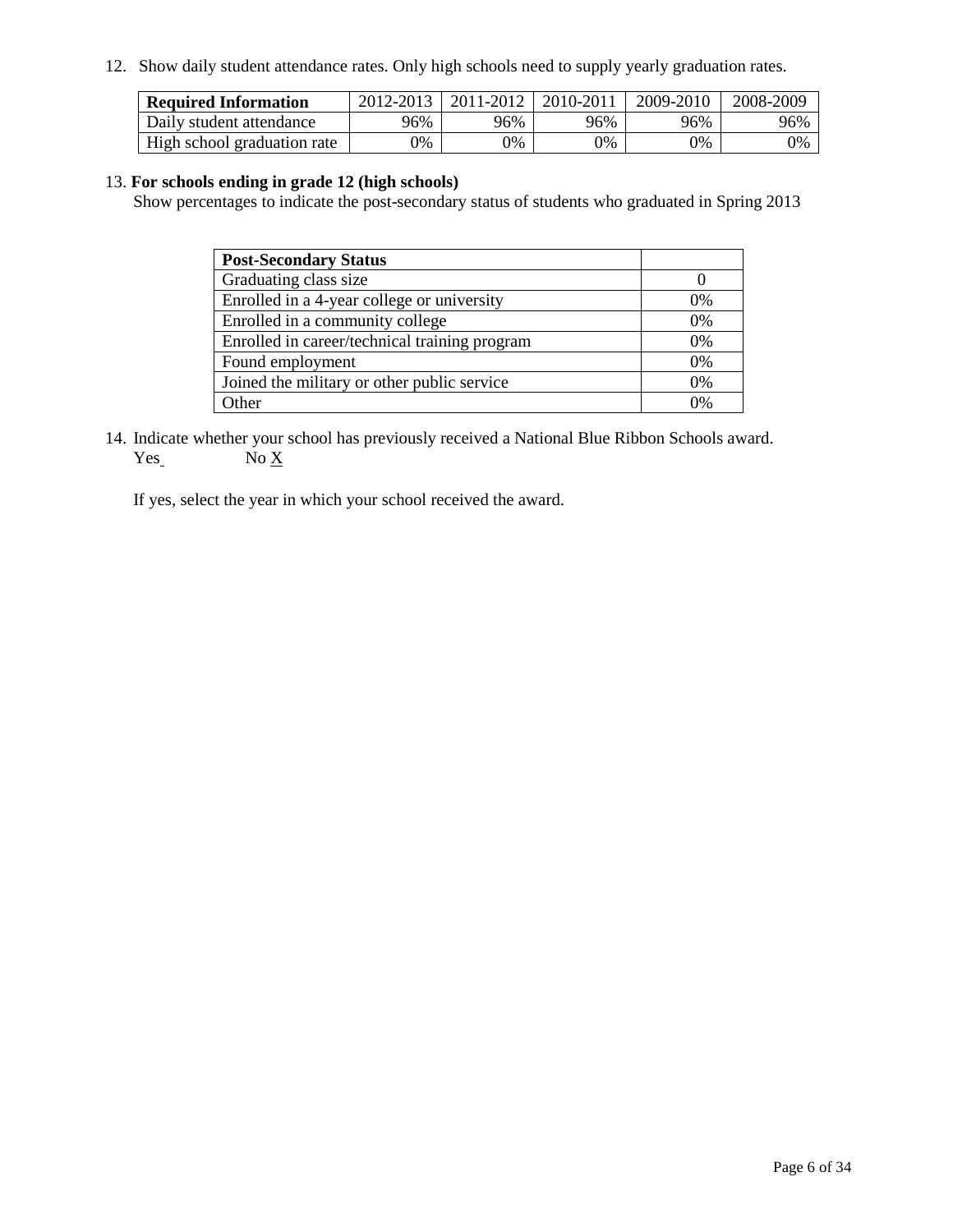12. Show daily student attendance rates. Only high schools need to supply yearly graduation rates.

| <b>Required Information</b> | 2012-2013 | 2011-2012 | 2010-2011 | 2009-2010 | 2008-2009 |
|-----------------------------|-----------|-----------|-----------|-----------|-----------|
| Daily student attendance    | 96%       | 96%       | 96%       | 96%       | 96%       |
| High school graduation rate | 0%        | $0\%$     | 0%        | 9%        | 0%        |

#### 13. **For schools ending in grade 12 (high schools)**

Show percentages to indicate the post-secondary status of students who graduated in Spring 2013

| <b>Post-Secondary Status</b>                  |       |
|-----------------------------------------------|-------|
| Graduating class size                         |       |
| Enrolled in a 4-year college or university    | $0\%$ |
| Enrolled in a community college               | $0\%$ |
| Enrolled in career/technical training program | 0%    |
| Found employment                              | 0%    |
| Joined the military or other public service   | $0\%$ |
| . Ither                                       | በ%    |

14. Indicate whether your school has previously received a National Blue Ribbon Schools award.  $Yes_$  No  $X_$ 

If yes, select the year in which your school received the award.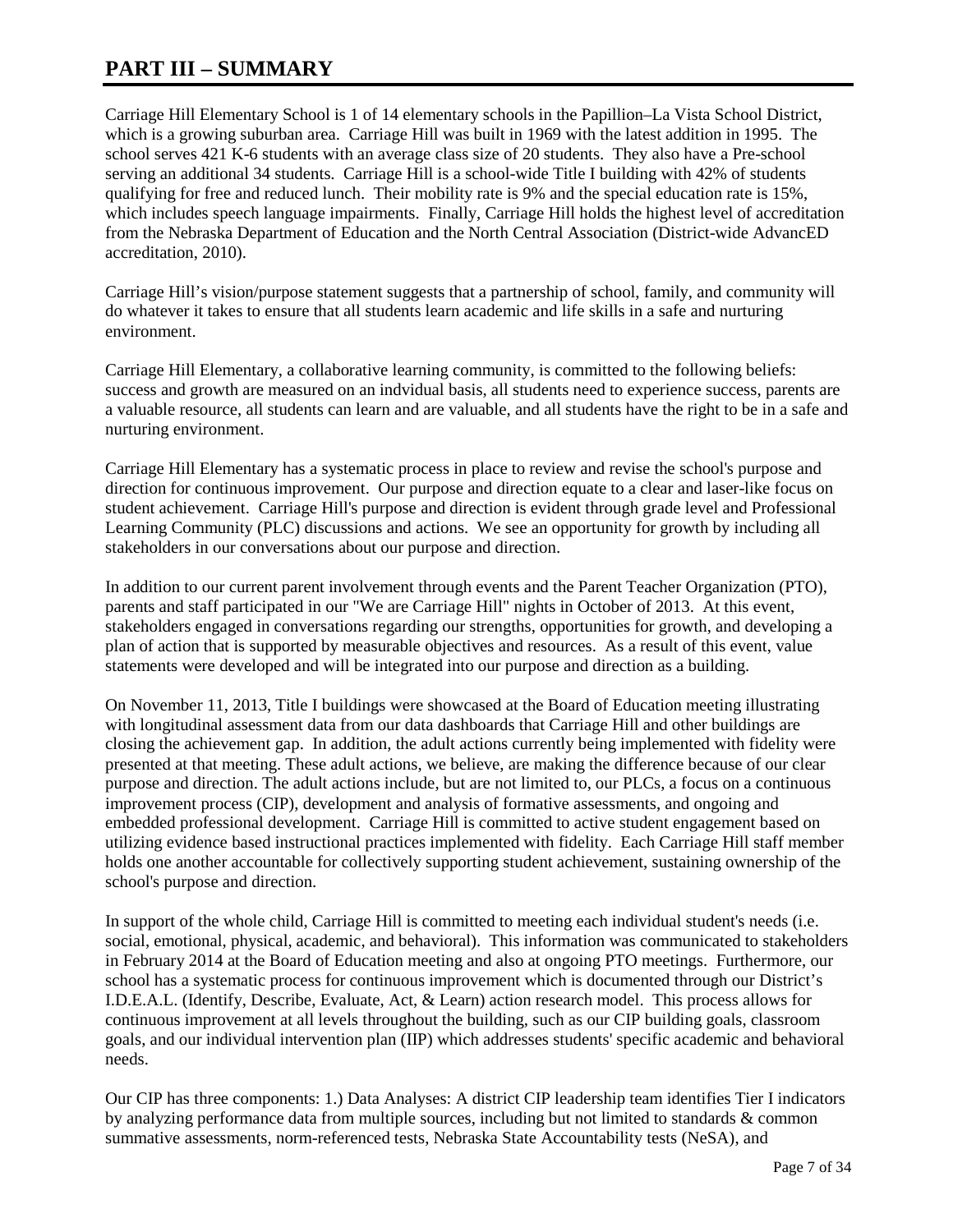# **PART III – SUMMARY**

Carriage Hill Elementary School is 1 of 14 elementary schools in the Papillion–La Vista School District, which is a growing suburban area. Carriage Hill was built in 1969 with the latest addition in 1995. The school serves 421 K-6 students with an average class size of 20 students. They also have a Pre-school serving an additional 34 students. Carriage Hill is a school-wide Title I building with 42% of students qualifying for free and reduced lunch. Their mobility rate is 9% and the special education rate is 15%, which includes speech language impairments. Finally, Carriage Hill holds the highest level of accreditation from the Nebraska Department of Education and the North Central Association (District-wide AdvancED accreditation, 2010).

Carriage Hill's vision/purpose statement suggests that a partnership of school, family, and community will do whatever it takes to ensure that all students learn academic and life skills in a safe and nurturing environment.

Carriage Hill Elementary, a collaborative learning community, is committed to the following beliefs: success and growth are measured on an indvidual basis, all students need to experience success, parents are a valuable resource, all students can learn and are valuable, and all students have the right to be in a safe and nurturing environment.

Carriage Hill Elementary has a systematic process in place to review and revise the school's purpose and direction for continuous improvement. Our purpose and direction equate to a clear and laser-like focus on student achievement. Carriage Hill's purpose and direction is evident through grade level and Professional Learning Community (PLC) discussions and actions. We see an opportunity for growth by including all stakeholders in our conversations about our purpose and direction.

In addition to our current parent involvement through events and the Parent Teacher Organization (PTO), parents and staff participated in our "We are Carriage Hill" nights in October of 2013. At this event, stakeholders engaged in conversations regarding our strengths, opportunities for growth, and developing a plan of action that is supported by measurable objectives and resources. As a result of this event, value statements were developed and will be integrated into our purpose and direction as a building.

On November 11, 2013, Title I buildings were showcased at the Board of Education meeting illustrating with longitudinal assessment data from our data dashboards that Carriage Hill and other buildings are closing the achievement gap. In addition, the adult actions currently being implemented with fidelity were presented at that meeting. These adult actions, we believe, are making the difference because of our clear purpose and direction. The adult actions include, but are not limited to, our PLCs, a focus on a continuous improvement process (CIP), development and analysis of formative assessments, and ongoing and embedded professional development. Carriage Hill is committed to active student engagement based on utilizing evidence based instructional practices implemented with fidelity. Each Carriage Hill staff member holds one another accountable for collectively supporting student achievement, sustaining ownership of the school's purpose and direction.

In support of the whole child, Carriage Hill is committed to meeting each individual student's needs (i.e. social, emotional, physical, academic, and behavioral). This information was communicated to stakeholders in February 2014 at the Board of Education meeting and also at ongoing PTO meetings. Furthermore, our school has a systematic process for continuous improvement which is documented through our District's I.D.E.A.L. (Identify, Describe, Evaluate, Act, & Learn) action research model. This process allows for continuous improvement at all levels throughout the building, such as our CIP building goals, classroom goals, and our individual intervention plan (IIP) which addresses students' specific academic and behavioral needs.

Our CIP has three components: 1.) Data Analyses: A district CIP leadership team identifies Tier I indicators by analyzing performance data from multiple sources, including but not limited to standards & common summative assessments, norm-referenced tests, Nebraska State Accountability tests (NeSA), and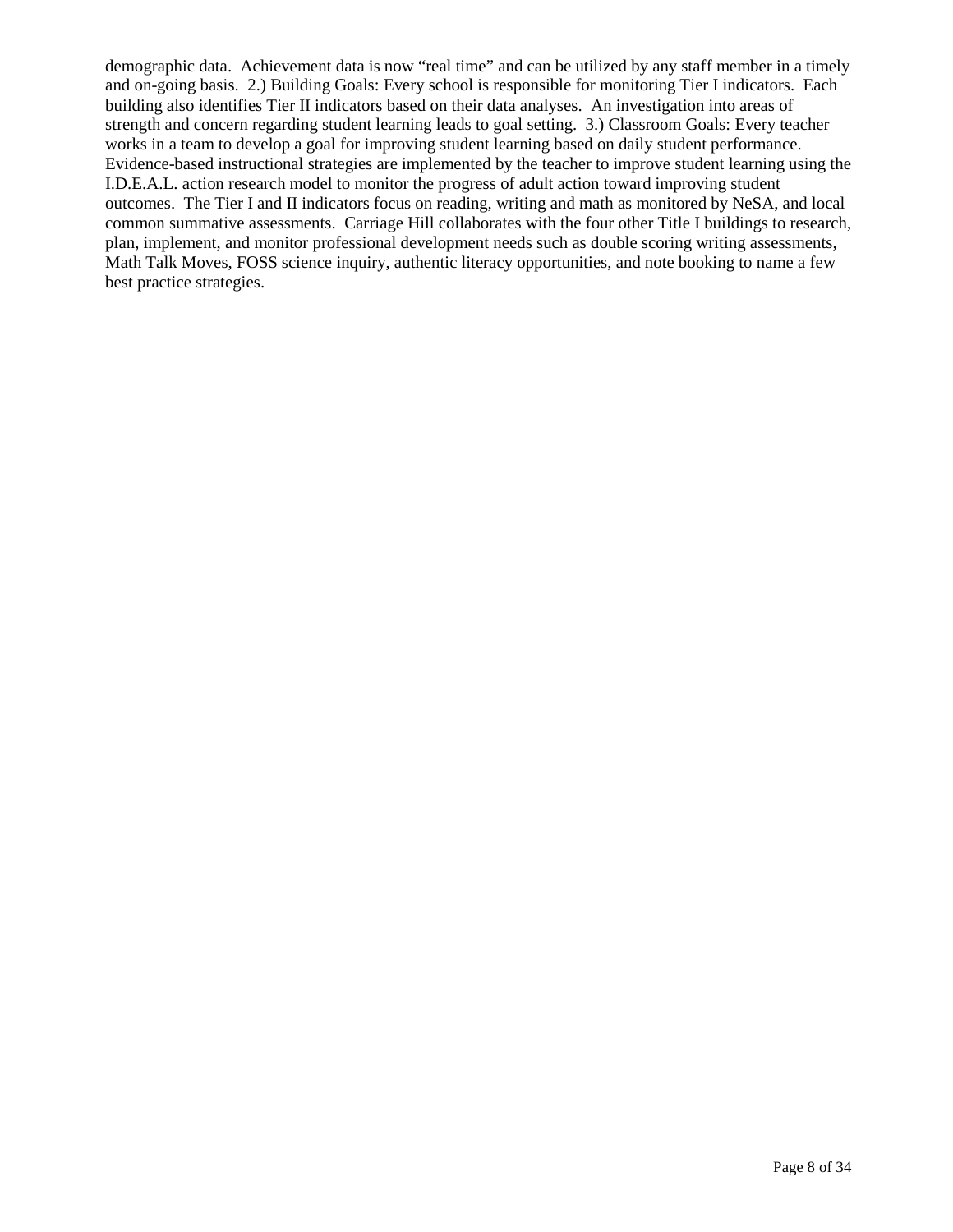demographic data. Achievement data is now "real time" and can be utilized by any staff member in a timely and on-going basis. 2.) Building Goals: Every school is responsible for monitoring Tier I indicators. Each building also identifies Tier II indicators based on their data analyses. An investigation into areas of strength and concern regarding student learning leads to goal setting. 3.) Classroom Goals: Every teacher works in a team to develop a goal for improving student learning based on daily student performance. Evidence-based instructional strategies are implemented by the teacher to improve student learning using the I.D.E.A.L. action research model to monitor the progress of adult action toward improving student outcomes. The Tier I and II indicators focus on reading, writing and math as monitored by NeSA, and local common summative assessments. Carriage Hill collaborates with the four other Title I buildings to research, plan, implement, and monitor professional development needs such as double scoring writing assessments, Math Talk Moves, FOSS science inquiry, authentic literacy opportunities, and note booking to name a few best practice strategies.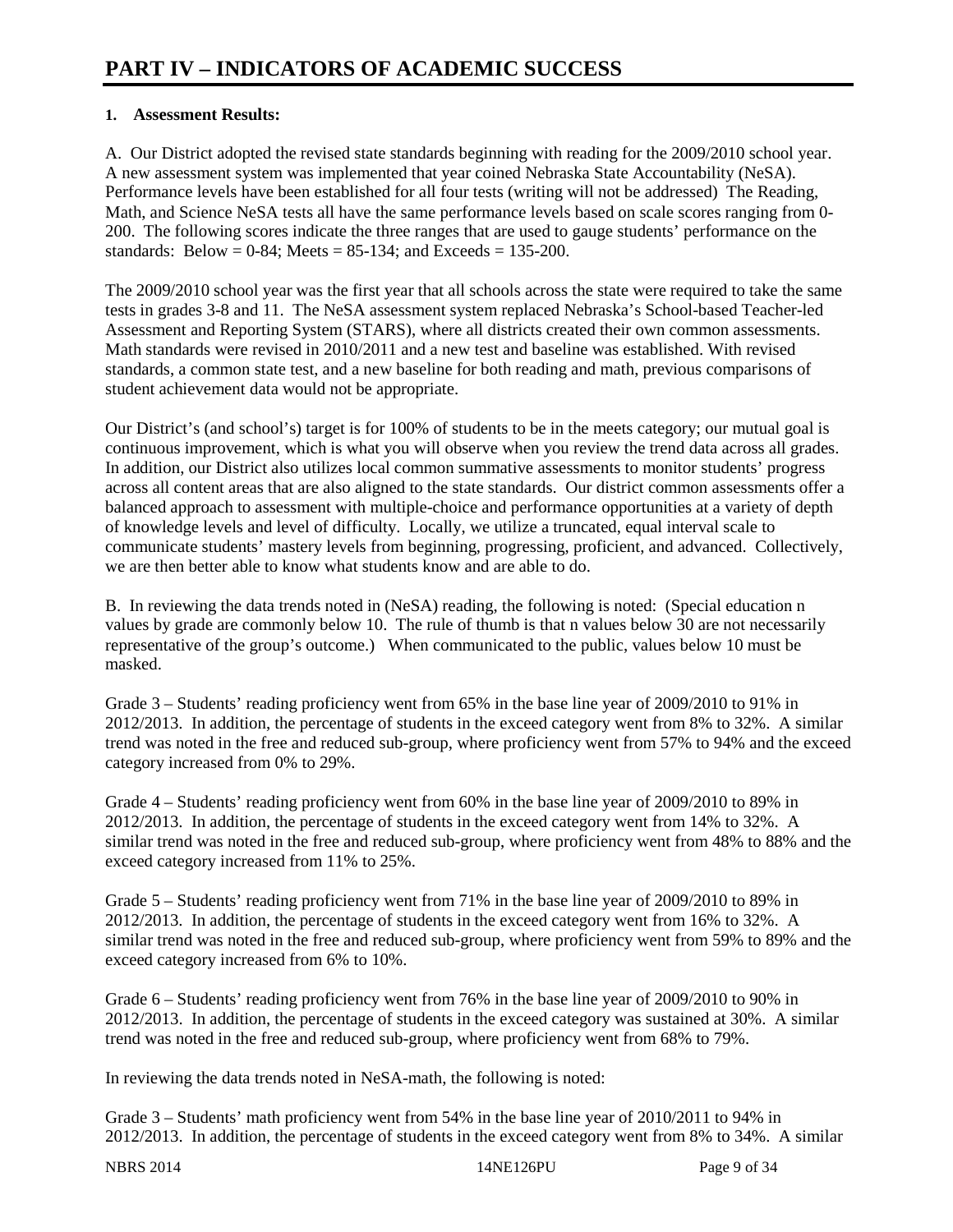### **1. Assessment Results:**

A. Our District adopted the revised state standards beginning with reading for the 2009/2010 school year. A new assessment system was implemented that year coined Nebraska State Accountability (NeSA). Performance levels have been established for all four tests (writing will not be addressed) The Reading, Math, and Science NeSA tests all have the same performance levels based on scale scores ranging from 0- 200. The following scores indicate the three ranges that are used to gauge students' performance on the standards: Below = 0-84; Meets = 85-134; and Exceeds = 135-200.

The 2009/2010 school year was the first year that all schools across the state were required to take the same tests in grades 3-8 and 11. The NeSA assessment system replaced Nebraska's School-based Teacher-led Assessment and Reporting System (STARS), where all districts created their own common assessments. Math standards were revised in 2010/2011 and a new test and baseline was established. With revised standards, a common state test, and a new baseline for both reading and math, previous comparisons of student achievement data would not be appropriate.

Our District's (and school's) target is for 100% of students to be in the meets category; our mutual goal is continuous improvement, which is what you will observe when you review the trend data across all grades. In addition, our District also utilizes local common summative assessments to monitor students' progress across all content areas that are also aligned to the state standards. Our district common assessments offer a balanced approach to assessment with multiple-choice and performance opportunities at a variety of depth of knowledge levels and level of difficulty. Locally, we utilize a truncated, equal interval scale to communicate students' mastery levels from beginning, progressing, proficient, and advanced. Collectively, we are then better able to know what students know and are able to do.

B. In reviewing the data trends noted in (NeSA) reading, the following is noted: (Special education n values by grade are commonly below 10. The rule of thumb is that n values below 30 are not necessarily representative of the group's outcome.) When communicated to the public, values below 10 must be masked.

Grade 3 – Students' reading proficiency went from 65% in the base line year of 2009/2010 to 91% in 2012/2013. In addition, the percentage of students in the exceed category went from 8% to 32%. A similar trend was noted in the free and reduced sub-group, where proficiency went from 57% to 94% and the exceed category increased from 0% to 29%.

Grade 4 – Students' reading proficiency went from 60% in the base line year of 2009/2010 to 89% in 2012/2013. In addition, the percentage of students in the exceed category went from 14% to 32%. A similar trend was noted in the free and reduced sub-group, where proficiency went from 48% to 88% and the exceed category increased from 11% to 25%.

Grade 5 – Students' reading proficiency went from 71% in the base line year of 2009/2010 to 89% in 2012/2013. In addition, the percentage of students in the exceed category went from 16% to 32%. A similar trend was noted in the free and reduced sub-group, where proficiency went from 59% to 89% and the exceed category increased from 6% to 10%.

Grade 6 – Students' reading proficiency went from 76% in the base line year of 2009/2010 to 90% in 2012/2013. In addition, the percentage of students in the exceed category was sustained at 30%. A similar trend was noted in the free and reduced sub-group, where proficiency went from 68% to 79%.

In reviewing the data trends noted in NeSA-math, the following is noted:

Grade 3 – Students' math proficiency went from 54% in the base line year of 2010/2011 to 94% in 2012/2013. In addition, the percentage of students in the exceed category went from 8% to 34%. A similar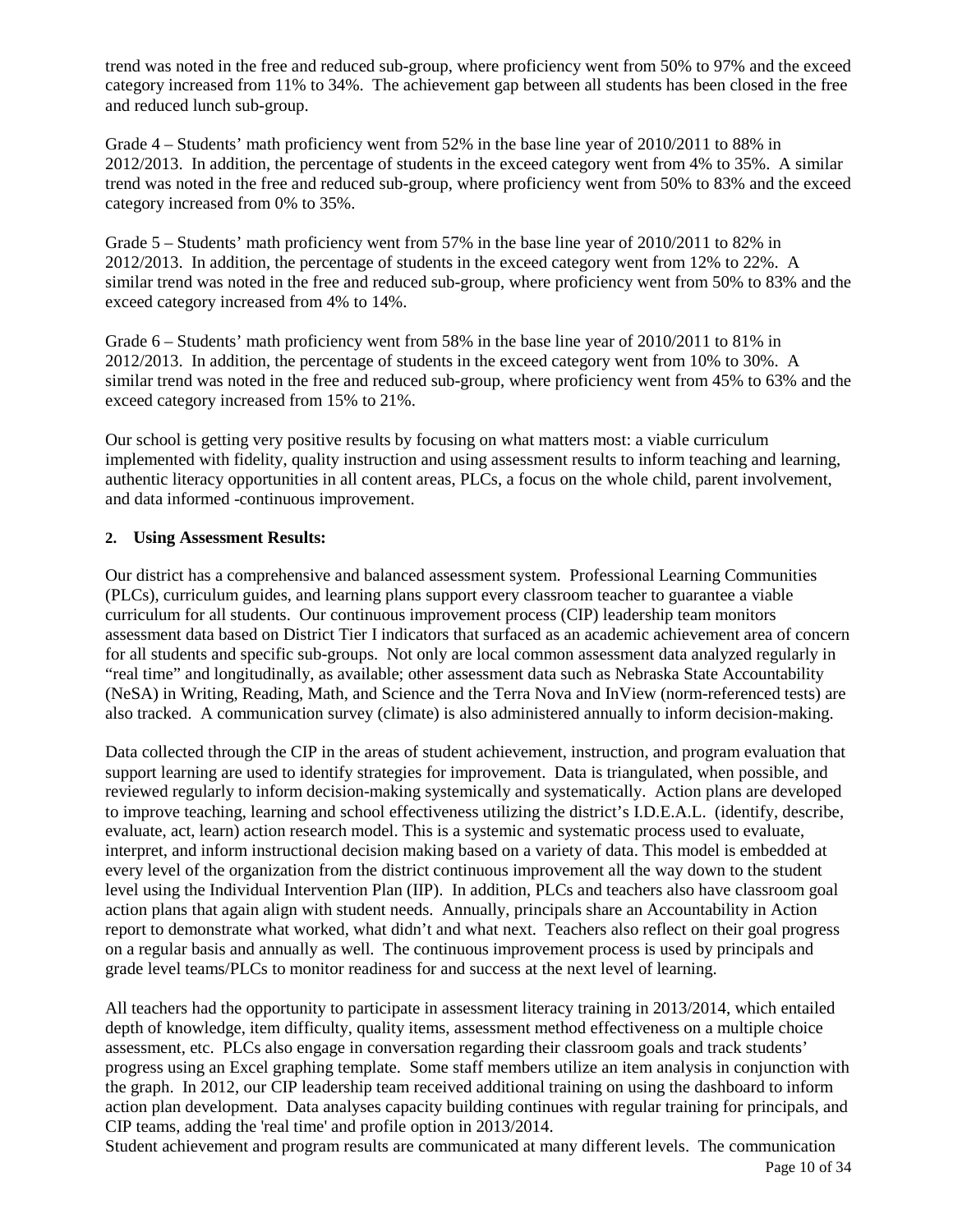trend was noted in the free and reduced sub-group, where proficiency went from 50% to 97% and the exceed category increased from 11% to 34%. The achievement gap between all students has been closed in the free and reduced lunch sub-group.

Grade 4 – Students' math proficiency went from 52% in the base line year of 2010/2011 to 88% in 2012/2013. In addition, the percentage of students in the exceed category went from 4% to 35%. A similar trend was noted in the free and reduced sub-group, where proficiency went from 50% to 83% and the exceed category increased from 0% to 35%.

Grade 5 – Students' math proficiency went from 57% in the base line year of 2010/2011 to 82% in 2012/2013. In addition, the percentage of students in the exceed category went from 12% to 22%. A similar trend was noted in the free and reduced sub-group, where proficiency went from 50% to 83% and the exceed category increased from 4% to 14%.

Grade 6 – Students' math proficiency went from 58% in the base line year of 2010/2011 to 81% in 2012/2013. In addition, the percentage of students in the exceed category went from 10% to 30%. A similar trend was noted in the free and reduced sub-group, where proficiency went from 45% to 63% and the exceed category increased from 15% to 21%.

Our school is getting very positive results by focusing on what matters most: a viable curriculum implemented with fidelity, quality instruction and using assessment results to inform teaching and learning, authentic literacy opportunities in all content areas, PLCs, a focus on the whole child, parent involvement, and data informed -continuous improvement.

### **2. Using Assessment Results:**

Our district has a comprehensive and balanced assessment system. Professional Learning Communities (PLCs), curriculum guides, and learning plans support every classroom teacher to guarantee a viable curriculum for all students. Our continuous improvement process (CIP) leadership team monitors assessment data based on District Tier I indicators that surfaced as an academic achievement area of concern for all students and specific sub-groups. Not only are local common assessment data analyzed regularly in "real time" and longitudinally, as available; other assessment data such as Nebraska State Accountability (NeSA) in Writing, Reading, Math, and Science and the Terra Nova and InView (norm-referenced tests) are also tracked. A communication survey (climate) is also administered annually to inform decision-making.

Data collected through the CIP in the areas of student achievement, instruction, and program evaluation that support learning are used to identify strategies for improvement. Data is triangulated, when possible, and reviewed regularly to inform decision-making systemically and systematically. Action plans are developed to improve teaching, learning and school effectiveness utilizing the district's I.D.E.A.L. (identify, describe, evaluate, act, learn) action research model. This is a systemic and systematic process used to evaluate, interpret, and inform instructional decision making based on a variety of data. This model is embedded at every level of the organization from the district continuous improvement all the way down to the student level using the Individual Intervention Plan (IIP). In addition, PLCs and teachers also have classroom goal action plans that again align with student needs. Annually, principals share an Accountability in Action report to demonstrate what worked, what didn't and what next. Teachers also reflect on their goal progress on a regular basis and annually as well. The continuous improvement process is used by principals and grade level teams/PLCs to monitor readiness for and success at the next level of learning.

All teachers had the opportunity to participate in assessment literacy training in 2013/2014, which entailed depth of knowledge, item difficulty, quality items, assessment method effectiveness on a multiple choice assessment, etc. PLCs also engage in conversation regarding their classroom goals and track students' progress using an Excel graphing template. Some staff members utilize an item analysis in conjunction with the graph. In 2012, our CIP leadership team received additional training on using the dashboard to inform action plan development. Data analyses capacity building continues with regular training for principals, and CIP teams, adding the 'real time' and profile option in 2013/2014.

Page 10 of 34 Student achievement and program results are communicated at many different levels. The communication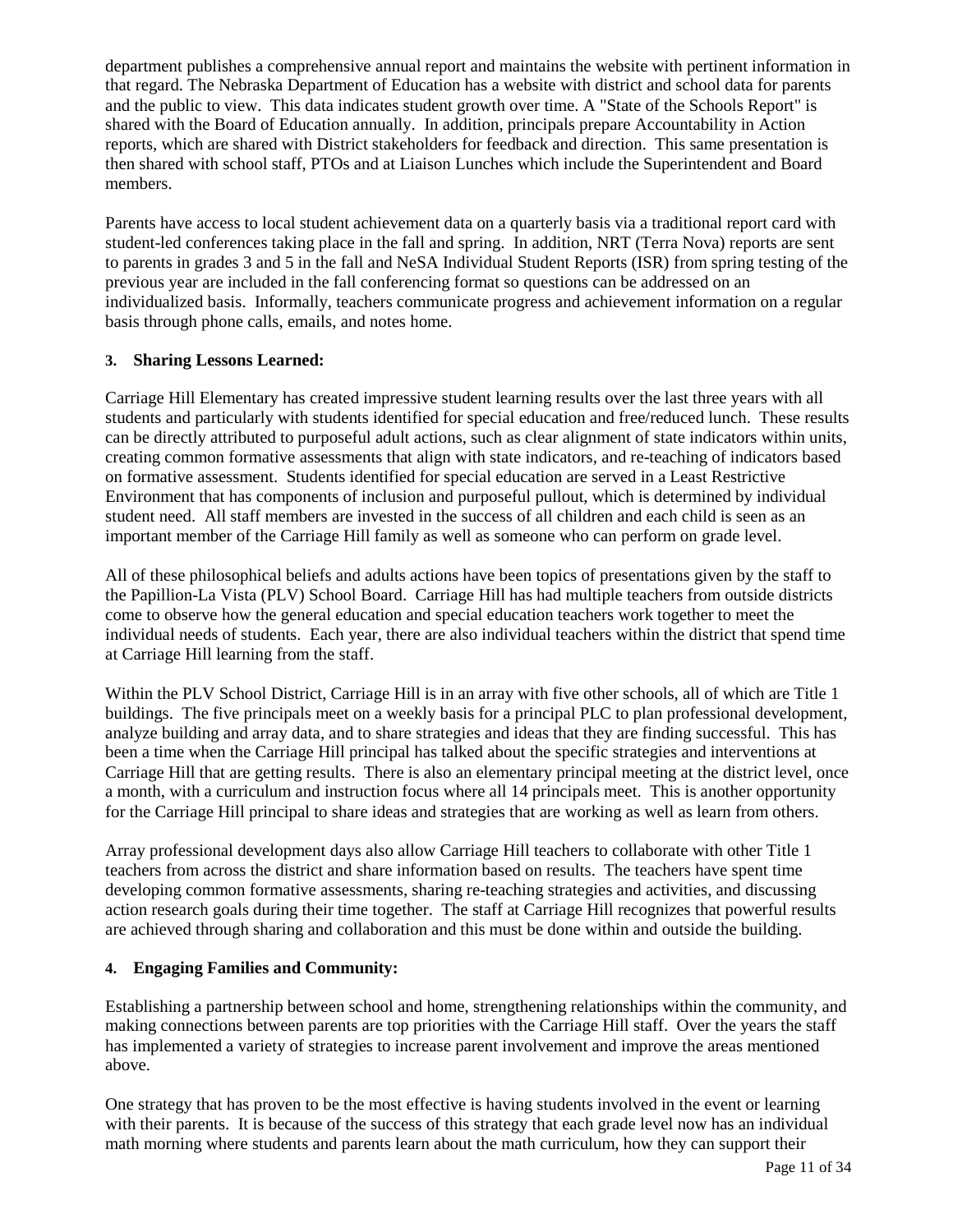department publishes a comprehensive annual report and maintains the website with pertinent information in that regard. The Nebraska Department of Education has a website with district and school data for parents and the public to view. This data indicates student growth over time. A "State of the Schools Report" is shared with the Board of Education annually. In addition, principals prepare Accountability in Action reports, which are shared with District stakeholders for feedback and direction. This same presentation is then shared with school staff, PTOs and at Liaison Lunches which include the Superintendent and Board members.

Parents have access to local student achievement data on a quarterly basis via a traditional report card with student-led conferences taking place in the fall and spring. In addition, NRT (Terra Nova) reports are sent to parents in grades 3 and 5 in the fall and NeSA Individual Student Reports (ISR) from spring testing of the previous year are included in the fall conferencing format so questions can be addressed on an individualized basis. Informally, teachers communicate progress and achievement information on a regular basis through phone calls, emails, and notes home.

#### **3. Sharing Lessons Learned:**

Carriage Hill Elementary has created impressive student learning results over the last three years with all students and particularly with students identified for special education and free/reduced lunch. These results can be directly attributed to purposeful adult actions, such as clear alignment of state indicators within units, creating common formative assessments that align with state indicators, and re-teaching of indicators based on formative assessment. Students identified for special education are served in a Least Restrictive Environment that has components of inclusion and purposeful pullout, which is determined by individual student need. All staff members are invested in the success of all children and each child is seen as an important member of the Carriage Hill family as well as someone who can perform on grade level.

All of these philosophical beliefs and adults actions have been topics of presentations given by the staff to the Papillion-La Vista (PLV) School Board. Carriage Hill has had multiple teachers from outside districts come to observe how the general education and special education teachers work together to meet the individual needs of students. Each year, there are also individual teachers within the district that spend time at Carriage Hill learning from the staff.

Within the PLV School District, Carriage Hill is in an array with five other schools, all of which are Title 1 buildings. The five principals meet on a weekly basis for a principal PLC to plan professional development, analyze building and array data, and to share strategies and ideas that they are finding successful. This has been a time when the Carriage Hill principal has talked about the specific strategies and interventions at Carriage Hill that are getting results. There is also an elementary principal meeting at the district level, once a month, with a curriculum and instruction focus where all 14 principals meet. This is another opportunity for the Carriage Hill principal to share ideas and strategies that are working as well as learn from others.

Array professional development days also allow Carriage Hill teachers to collaborate with other Title 1 teachers from across the district and share information based on results. The teachers have spent time developing common formative assessments, sharing re-teaching strategies and activities, and discussing action research goals during their time together. The staff at Carriage Hill recognizes that powerful results are achieved through sharing and collaboration and this must be done within and outside the building.

### **4. Engaging Families and Community:**

Establishing a partnership between school and home, strengthening relationships within the community, and making connections between parents are top priorities with the Carriage Hill staff. Over the years the staff has implemented a variety of strategies to increase parent involvement and improve the areas mentioned above.

One strategy that has proven to be the most effective is having students involved in the event or learning with their parents. It is because of the success of this strategy that each grade level now has an individual math morning where students and parents learn about the math curriculum, how they can support their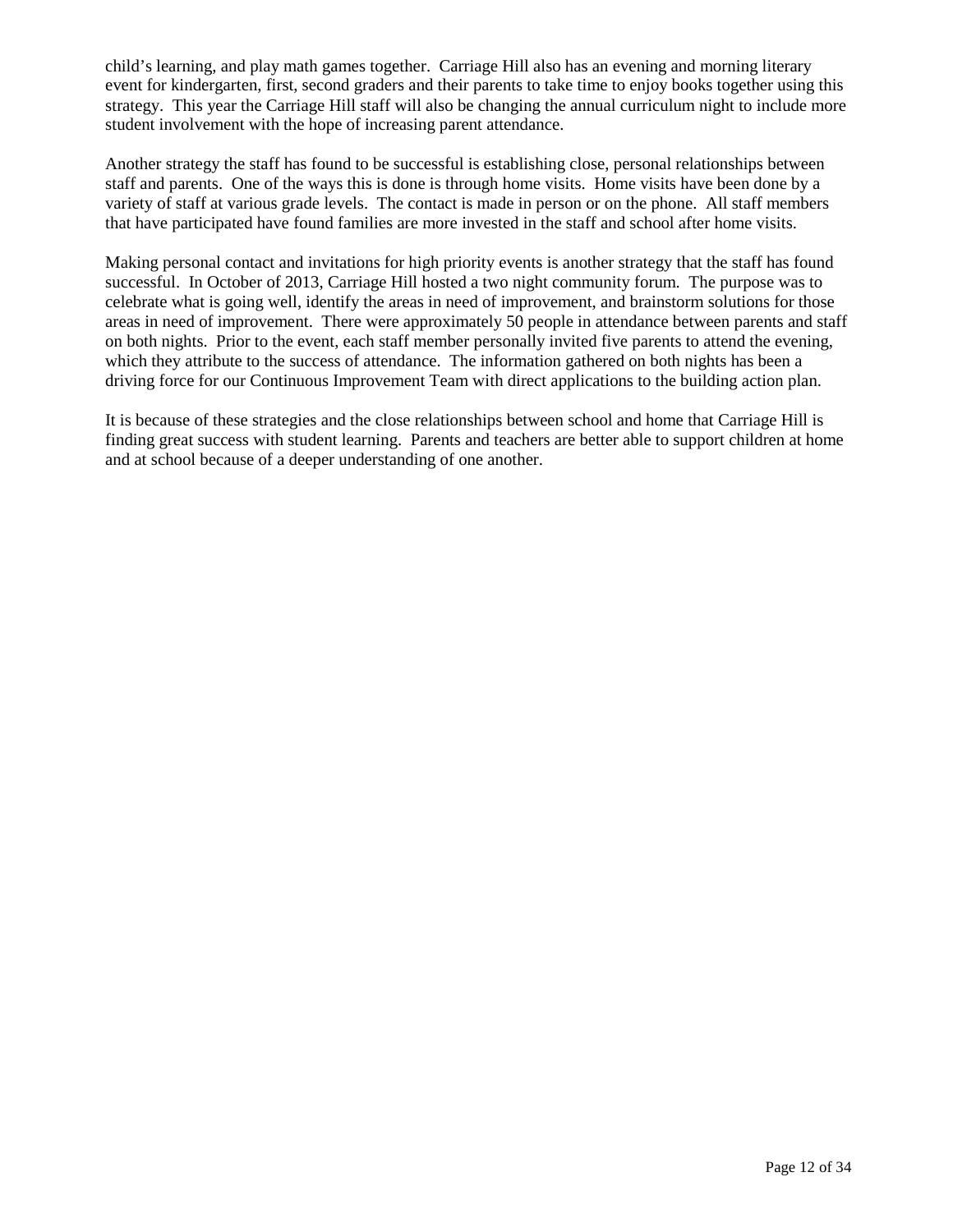child's learning, and play math games together. Carriage Hill also has an evening and morning literary event for kindergarten, first, second graders and their parents to take time to enjoy books together using this strategy. This year the Carriage Hill staff will also be changing the annual curriculum night to include more student involvement with the hope of increasing parent attendance.

Another strategy the staff has found to be successful is establishing close, personal relationships between staff and parents. One of the ways this is done is through home visits. Home visits have been done by a variety of staff at various grade levels. The contact is made in person or on the phone. All staff members that have participated have found families are more invested in the staff and school after home visits.

Making personal contact and invitations for high priority events is another strategy that the staff has found successful. In October of 2013, Carriage Hill hosted a two night community forum. The purpose was to celebrate what is going well, identify the areas in need of improvement, and brainstorm solutions for those areas in need of improvement. There were approximately 50 people in attendance between parents and staff on both nights. Prior to the event, each staff member personally invited five parents to attend the evening, which they attribute to the success of attendance. The information gathered on both nights has been a driving force for our Continuous Improvement Team with direct applications to the building action plan.

It is because of these strategies and the close relationships between school and home that Carriage Hill is finding great success with student learning. Parents and teachers are better able to support children at home and at school because of a deeper understanding of one another.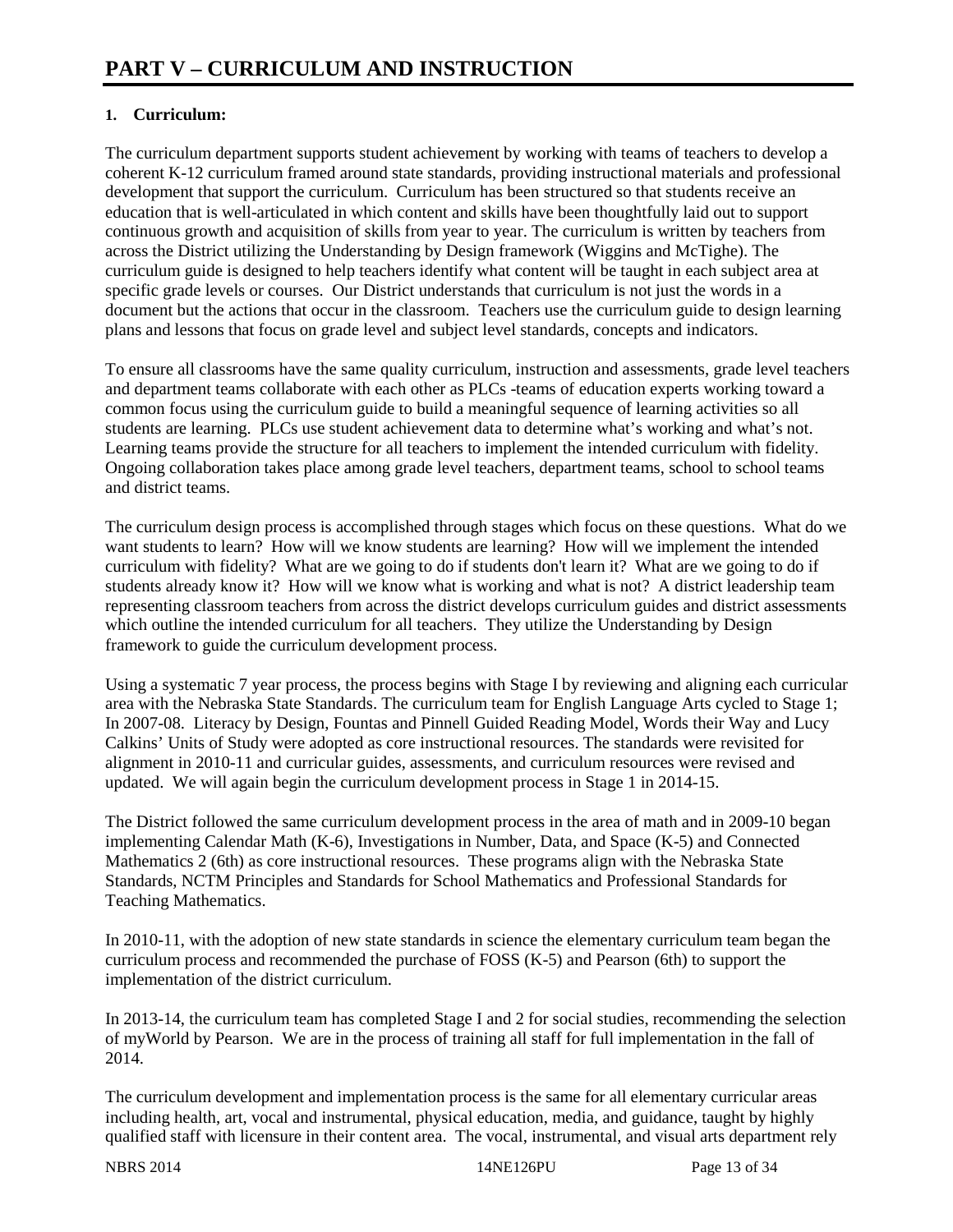### **1. Curriculum:**

The curriculum department supports student achievement by working with teams of teachers to develop a coherent K-12 curriculum framed around state standards, providing instructional materials and professional development that support the curriculum. Curriculum has been structured so that students receive an education that is well-articulated in which content and skills have been thoughtfully laid out to support continuous growth and acquisition of skills from year to year. The curriculum is written by teachers from across the District utilizing the Understanding by Design framework (Wiggins and McTighe). The curriculum guide is designed to help teachers identify what content will be taught in each subject area at specific grade levels or courses. Our District understands that curriculum is not just the words in a document but the actions that occur in the classroom. Teachers use the curriculum guide to design learning plans and lessons that focus on grade level and subject level standards, concepts and indicators.

To ensure all classrooms have the same quality curriculum, instruction and assessments, grade level teachers and department teams collaborate with each other as PLCs -teams of education experts working toward a common focus using the curriculum guide to build a meaningful sequence of learning activities so all students are learning. PLCs use student achievement data to determine what's working and what's not. Learning teams provide the structure for all teachers to implement the intended curriculum with fidelity. Ongoing collaboration takes place among grade level teachers, department teams, school to school teams and district teams.

The curriculum design process is accomplished through stages which focus on these questions. What do we want students to learn? How will we know students are learning? How will we implement the intended curriculum with fidelity? What are we going to do if students don't learn it? What are we going to do if students already know it? How will we know what is working and what is not? A district leadership team representing classroom teachers from across the district develops curriculum guides and district assessments which outline the intended curriculum for all teachers. They utilize the Understanding by Design framework to guide the curriculum development process.

Using a systematic 7 year process, the process begins with Stage I by reviewing and aligning each curricular area with the Nebraska State Standards. The curriculum team for English Language Arts cycled to Stage 1; In 2007-08. Literacy by Design, Fountas and Pinnell Guided Reading Model, Words their Way and Lucy Calkins' Units of Study were adopted as core instructional resources. The standards were revisited for alignment in 2010-11 and curricular guides, assessments, and curriculum resources were revised and updated. We will again begin the curriculum development process in Stage 1 in 2014-15.

The District followed the same curriculum development process in the area of math and in 2009-10 began implementing Calendar Math (K-6), Investigations in Number, Data, and Space (K-5) and Connected Mathematics 2 (6th) as core instructional resources. These programs align with the Nebraska State Standards, NCTM Principles and Standards for School Mathematics and Professional Standards for Teaching Mathematics.

In 2010-11, with the adoption of new state standards in science the elementary curriculum team began the curriculum process and recommended the purchase of FOSS (K-5) and Pearson (6th) to support the implementation of the district curriculum.

In 2013-14, the curriculum team has completed Stage I and 2 for social studies, recommending the selection of myWorld by Pearson. We are in the process of training all staff for full implementation in the fall of 2014.

The curriculum development and implementation process is the same for all elementary curricular areas including health, art, vocal and instrumental, physical education, media, and guidance, taught by highly qualified staff with licensure in their content area. The vocal, instrumental, and visual arts department rely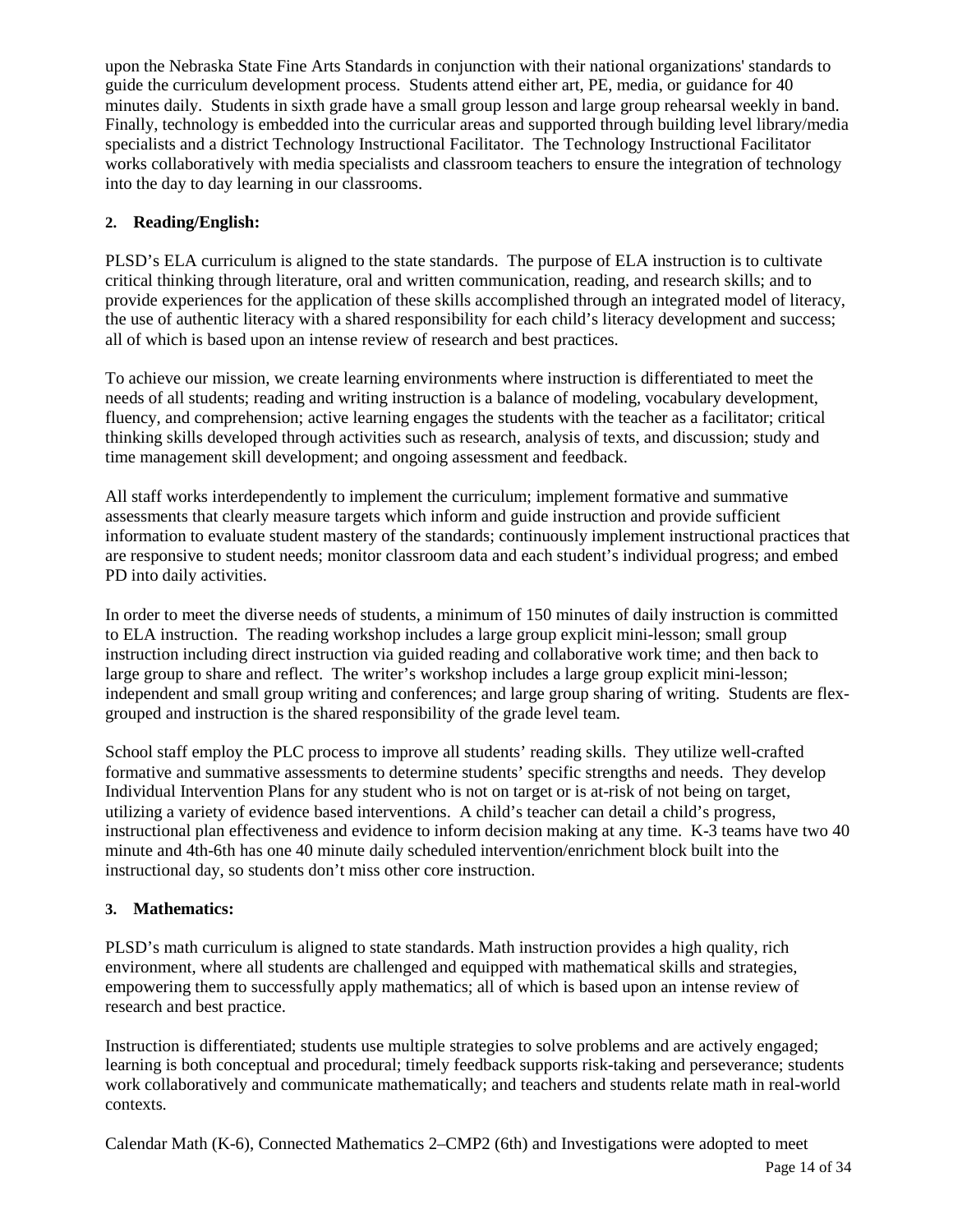upon the Nebraska State Fine Arts Standards in conjunction with their national organizations' standards to guide the curriculum development process. Students attend either art, PE, media, or guidance for 40 minutes daily. Students in sixth grade have a small group lesson and large group rehearsal weekly in band. Finally, technology is embedded into the curricular areas and supported through building level library/media specialists and a district Technology Instructional Facilitator. The Technology Instructional Facilitator works collaboratively with media specialists and classroom teachers to ensure the integration of technology into the day to day learning in our classrooms.

### **2. Reading/English:**

PLSD's ELA curriculum is aligned to the state standards. The purpose of ELA instruction is to cultivate critical thinking through literature, oral and written communication, reading, and research skills; and to provide experiences for the application of these skills accomplished through an integrated model of literacy, the use of authentic literacy with a shared responsibility for each child's literacy development and success; all of which is based upon an intense review of research and best practices.

To achieve our mission, we create learning environments where instruction is differentiated to meet the needs of all students; reading and writing instruction is a balance of modeling, vocabulary development, fluency, and comprehension; active learning engages the students with the teacher as a facilitator; critical thinking skills developed through activities such as research, analysis of texts, and discussion; study and time management skill development; and ongoing assessment and feedback.

All staff works interdependently to implement the curriculum; implement formative and summative assessments that clearly measure targets which inform and guide instruction and provide sufficient information to evaluate student mastery of the standards; continuously implement instructional practices that are responsive to student needs; monitor classroom data and each student's individual progress; and embed PD into daily activities.

In order to meet the diverse needs of students, a minimum of 150 minutes of daily instruction is committed to ELA instruction. The reading workshop includes a large group explicit mini-lesson; small group instruction including direct instruction via guided reading and collaborative work time; and then back to large group to share and reflect. The writer's workshop includes a large group explicit mini-lesson; independent and small group writing and conferences; and large group sharing of writing. Students are flexgrouped and instruction is the shared responsibility of the grade level team.

School staff employ the PLC process to improve all students' reading skills. They utilize well-crafted formative and summative assessments to determine students' specific strengths and needs. They develop Individual Intervention Plans for any student who is not on target or is at-risk of not being on target, utilizing a variety of evidence based interventions. A child's teacher can detail a child's progress, instructional plan effectiveness and evidence to inform decision making at any time. K-3 teams have two 40 minute and 4th-6th has one 40 minute daily scheduled intervention/enrichment block built into the instructional day, so students don't miss other core instruction.

#### **3. Mathematics:**

PLSD's math curriculum is aligned to state standards. Math instruction provides a high quality, rich environment, where all students are challenged and equipped with mathematical skills and strategies, empowering them to successfully apply mathematics; all of which is based upon an intense review of research and best practice.

Instruction is differentiated; students use multiple strategies to solve problems and are actively engaged; learning is both conceptual and procedural; timely feedback supports risk-taking and perseverance; students work collaboratively and communicate mathematically; and teachers and students relate math in real-world contexts.

Calendar Math (K-6), Connected Mathematics 2–CMP2 (6th) and Investigations were adopted to meet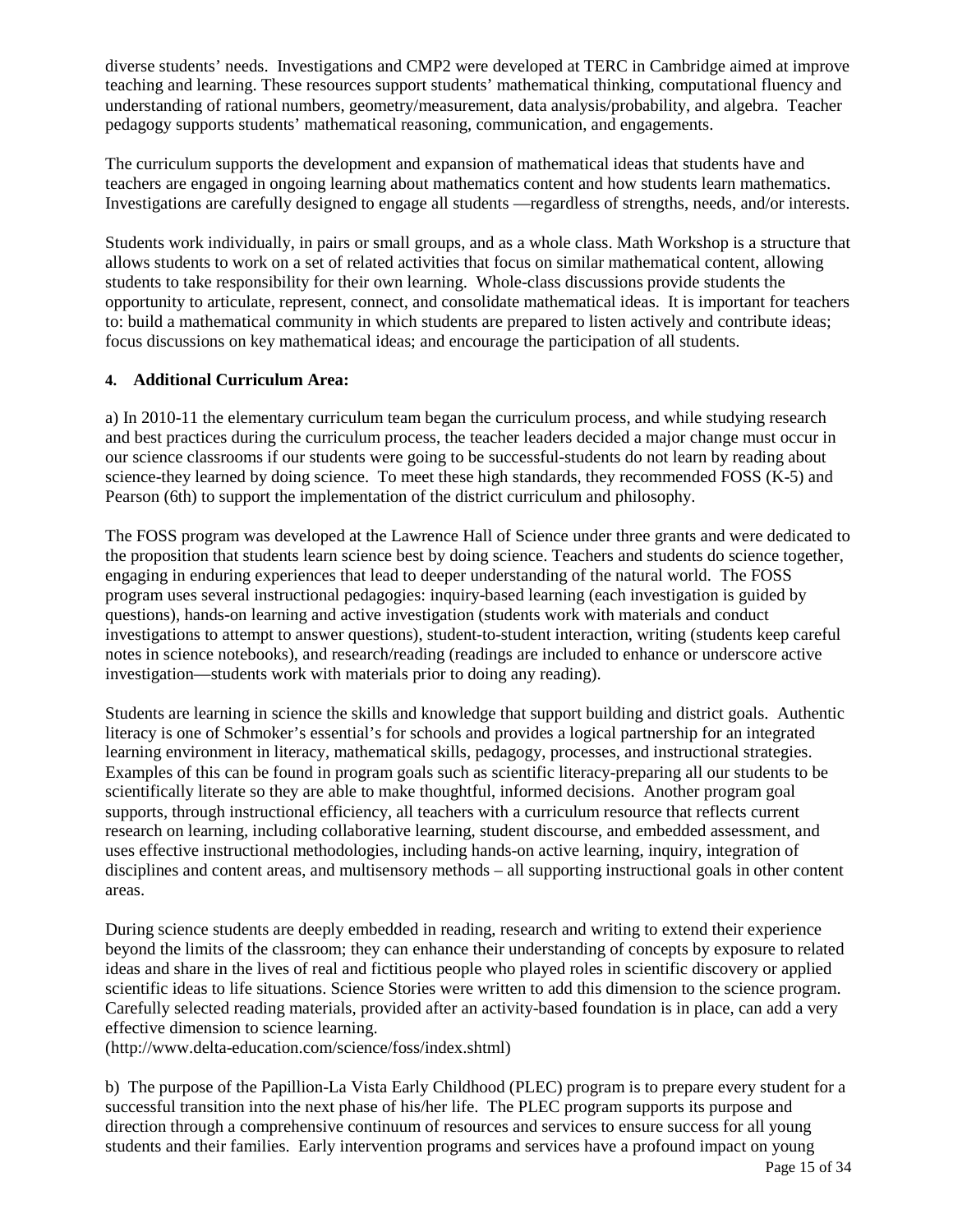diverse students' needs. Investigations and CMP2 were developed at TERC in Cambridge aimed at improve teaching and learning. These resources support students' mathematical thinking, computational fluency and understanding of rational numbers, geometry/measurement, data analysis/probability, and algebra. Teacher pedagogy supports students' mathematical reasoning, communication, and engagements.

The curriculum supports the development and expansion of mathematical ideas that students have and teachers are engaged in ongoing learning about mathematics content and how students learn mathematics. Investigations are carefully designed to engage all students —regardless of strengths, needs, and/or interests.

Students work individually, in pairs or small groups, and as a whole class. Math Workshop is a structure that allows students to work on a set of related activities that focus on similar mathematical content, allowing students to take responsibility for their own learning. Whole-class discussions provide students the opportunity to articulate, represent, connect, and consolidate mathematical ideas. It is important for teachers to: build a mathematical community in which students are prepared to listen actively and contribute ideas; focus discussions on key mathematical ideas; and encourage the participation of all students.

### **4. Additional Curriculum Area:**

a) In 2010-11 the elementary curriculum team began the curriculum process, and while studying research and best practices during the curriculum process, the teacher leaders decided a major change must occur in our science classrooms if our students were going to be successful-students do not learn by reading about science-they learned by doing science. To meet these high standards, they recommended FOSS (K-5) and Pearson (6th) to support the implementation of the district curriculum and philosophy.

The FOSS program was developed at the Lawrence Hall of Science under three grants and were dedicated to the proposition that students learn science best by doing science. Teachers and students do science together, engaging in enduring experiences that lead to deeper understanding of the natural world. The FOSS program uses several instructional pedagogies: inquiry-based learning (each investigation is guided by questions), hands-on learning and active investigation (students work with materials and conduct investigations to attempt to answer questions), student-to-student interaction, writing (students keep careful notes in science notebooks), and research/reading (readings are included to enhance or underscore active investigation—students work with materials prior to doing any reading).

Students are learning in science the skills and knowledge that support building and district goals. Authentic literacy is one of Schmoker's essential's for schools and provides a logical partnership for an integrated learning environment in literacy, mathematical skills, pedagogy, processes, and instructional strategies. Examples of this can be found in program goals such as scientific literacy-preparing all our students to be scientifically literate so they are able to make thoughtful, informed decisions. Another program goal supports, through instructional efficiency, all teachers with a curriculum resource that reflects current research on learning, including collaborative learning, student discourse, and embedded assessment, and uses effective instructional methodologies, including hands-on active learning, inquiry, integration of disciplines and content areas, and multisensory methods – all supporting instructional goals in other content areas.

During science students are deeply embedded in reading, research and writing to extend their experience beyond the limits of the classroom; they can enhance their understanding of concepts by exposure to related ideas and share in the lives of real and fictitious people who played roles in scientific discovery or applied scientific ideas to life situations. Science Stories were written to add this dimension to the science program. Carefully selected reading materials, provided after an activity-based foundation is in place, can add a very effective dimension to science learning.

(http://www.delta-education.com/science/foss/index.shtml)

b) The purpose of the Papillion-La Vista Early Childhood (PLEC) program is to prepare every student for a successful transition into the next phase of his/her life. The PLEC program supports its purpose and direction through a comprehensive continuum of resources and services to ensure success for all young students and their families. Early intervention programs and services have a profound impact on young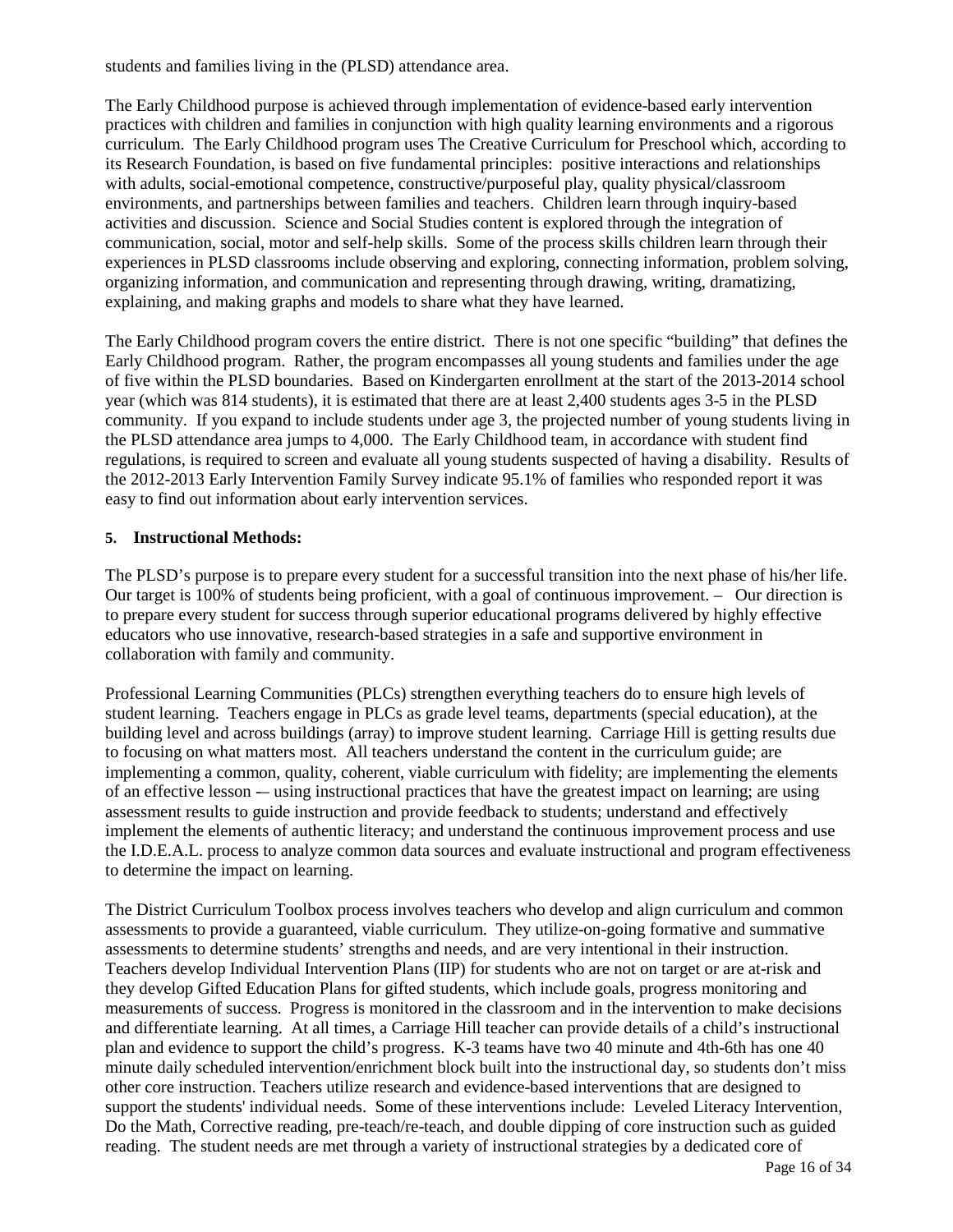students and families living in the (PLSD) attendance area.

The Early Childhood purpose is achieved through implementation of evidence-based early intervention practices with children and families in conjunction with high quality learning environments and a rigorous curriculum. The Early Childhood program uses The Creative Curriculum for Preschool which, according to its Research Foundation, is based on five fundamental principles: positive interactions and relationships with adults, social-emotional competence, constructive/purposeful play, quality physical/classroom environments, and partnerships between families and teachers. Children learn through inquiry-based activities and discussion. Science and Social Studies content is explored through the integration of communication, social, motor and self-help skills. Some of the process skills children learn through their experiences in PLSD classrooms include observing and exploring, connecting information, problem solving, organizing information, and communication and representing through drawing, writing, dramatizing, explaining, and making graphs and models to share what they have learned.

The Early Childhood program covers the entire district. There is not one specific "building" that defines the Early Childhood program. Rather, the program encompasses all young students and families under the age of five within the PLSD boundaries. Based on Kindergarten enrollment at the start of the 2013-2014 school year (which was 814 students), it is estimated that there are at least 2,400 students ages 3-5 in the PLSD community. If you expand to include students under age 3, the projected number of young students living in the PLSD attendance area jumps to 4,000. The Early Childhood team, in accordance with student find regulations, is required to screen and evaluate all young students suspected of having a disability. Results of the 2012-2013 Early Intervention Family Survey indicate 95.1% of families who responded report it was easy to find out information about early intervention services.

#### **5. Instructional Methods:**

The PLSD's purpose is to prepare every student for a successful transition into the next phase of his/her life. Our target is 100% of students being proficient, with a goal of continuous improvement. – Our direction is to prepare every student for success through superior educational programs delivered by highly effective educators who use innovative, research-based strategies in a safe and supportive environment in collaboration with family and community.

Professional Learning Communities (PLCs) strengthen everything teachers do to ensure high levels of student learning. Teachers engage in PLCs as grade level teams, departments (special education), at the building level and across buildings (array) to improve student learning. Carriage Hill is getting results due to focusing on what matters most. All teachers understand the content in the curriculum guide; are implementing a common, quality, coherent, viable curriculum with fidelity; are implementing the elements of an effective lesson -– using instructional practices that have the greatest impact on learning; are using assessment results to guide instruction and provide feedback to students; understand and effectively implement the elements of authentic literacy; and understand the continuous improvement process and use the I.D.E.A.L. process to analyze common data sources and evaluate instructional and program effectiveness to determine the impact on learning.

The District Curriculum Toolbox process involves teachers who develop and align curriculum and common assessments to provide a guaranteed, viable curriculum. They utilize-on-going formative and summative assessments to determine students' strengths and needs, and are very intentional in their instruction. Teachers develop Individual Intervention Plans (IIP) for students who are not on target or are at-risk and they develop Gifted Education Plans for gifted students, which include goals, progress monitoring and measurements of success. Progress is monitored in the classroom and in the intervention to make decisions and differentiate learning. At all times, a Carriage Hill teacher can provide details of a child's instructional plan and evidence to support the child's progress. K-3 teams have two 40 minute and 4th-6th has one 40 minute daily scheduled intervention/enrichment block built into the instructional day, so students don't miss other core instruction. Teachers utilize research and evidence-based interventions that are designed to support the students' individual needs. Some of these interventions include: Leveled Literacy Intervention, Do the Math, Corrective reading, pre-teach/re-teach, and double dipping of core instruction such as guided reading. The student needs are met through a variety of instructional strategies by a dedicated core of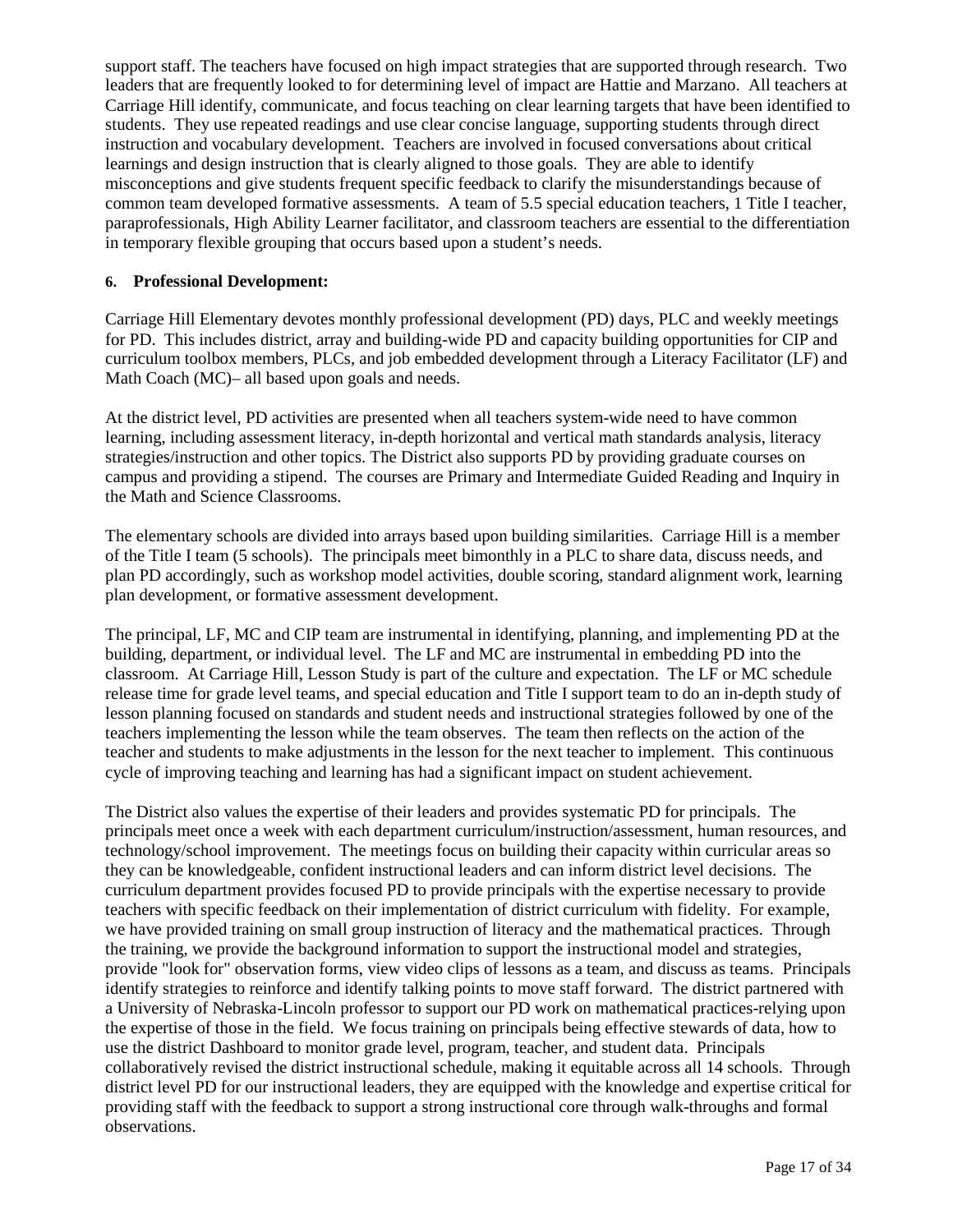support staff. The teachers have focused on high impact strategies that are supported through research. Two leaders that are frequently looked to for determining level of impact are Hattie and Marzano. All teachers at Carriage Hill identify, communicate, and focus teaching on clear learning targets that have been identified to students. They use repeated readings and use clear concise language, supporting students through direct instruction and vocabulary development. Teachers are involved in focused conversations about critical learnings and design instruction that is clearly aligned to those goals. They are able to identify misconceptions and give students frequent specific feedback to clarify the misunderstandings because of common team developed formative assessments. A team of 5.5 special education teachers, 1 Title I teacher, paraprofessionals, High Ability Learner facilitator, and classroom teachers are essential to the differentiation in temporary flexible grouping that occurs based upon a student's needs.

#### **6. Professional Development:**

Carriage Hill Elementary devotes monthly professional development (PD) days, PLC and weekly meetings for PD. This includes district, array and building-wide PD and capacity building opportunities for CIP and curriculum toolbox members, PLCs, and job embedded development through a Literacy Facilitator (LF) and Math Coach (MC)– all based upon goals and needs.

At the district level, PD activities are presented when all teachers system-wide need to have common learning, including assessment literacy, in-depth horizontal and vertical math standards analysis, literacy strategies/instruction and other topics. The District also supports PD by providing graduate courses on campus and providing a stipend. The courses are Primary and Intermediate Guided Reading and Inquiry in the Math and Science Classrooms.

The elementary schools are divided into arrays based upon building similarities. Carriage Hill is a member of the Title I team (5 schools). The principals meet bimonthly in a PLC to share data, discuss needs, and plan PD accordingly, such as workshop model activities, double scoring, standard alignment work, learning plan development, or formative assessment development.

The principal, LF, MC and CIP team are instrumental in identifying, planning, and implementing PD at the building, department, or individual level. The LF and MC are instrumental in embedding PD into the classroom. At Carriage Hill, Lesson Study is part of the culture and expectation. The LF or MC schedule release time for grade level teams, and special education and Title I support team to do an in-depth study of lesson planning focused on standards and student needs and instructional strategies followed by one of the teachers implementing the lesson while the team observes. The team then reflects on the action of the teacher and students to make adjustments in the lesson for the next teacher to implement. This continuous cycle of improving teaching and learning has had a significant impact on student achievement.

The District also values the expertise of their leaders and provides systematic PD for principals. The principals meet once a week with each department curriculum/instruction/assessment, human resources, and technology/school improvement. The meetings focus on building their capacity within curricular areas so they can be knowledgeable, confident instructional leaders and can inform district level decisions. The curriculum department provides focused PD to provide principals with the expertise necessary to provide teachers with specific feedback on their implementation of district curriculum with fidelity. For example, we have provided training on small group instruction of literacy and the mathematical practices. Through the training, we provide the background information to support the instructional model and strategies, provide "look for" observation forms, view video clips of lessons as a team, and discuss as teams. Principals identify strategies to reinforce and identify talking points to move staff forward. The district partnered with a University of Nebraska-Lincoln professor to support our PD work on mathematical practices-relying upon the expertise of those in the field. We focus training on principals being effective stewards of data, how to use the district Dashboard to monitor grade level, program, teacher, and student data. Principals collaboratively revised the district instructional schedule, making it equitable across all 14 schools. Through district level PD for our instructional leaders, they are equipped with the knowledge and expertise critical for providing staff with the feedback to support a strong instructional core through walk-throughs and formal observations.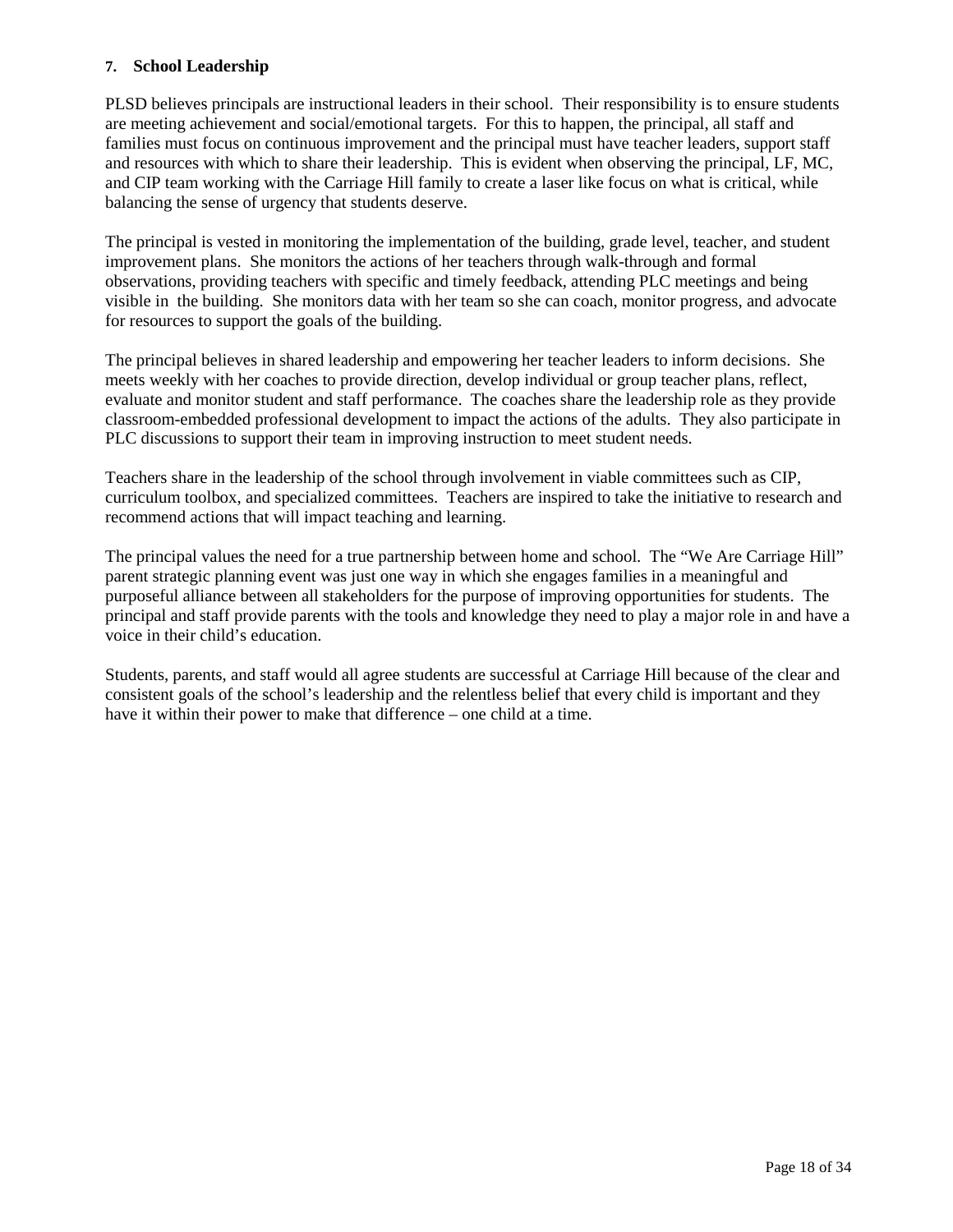#### **7. School Leadership**

PLSD believes principals are instructional leaders in their school. Their responsibility is to ensure students are meeting achievement and social/emotional targets. For this to happen, the principal, all staff and families must focus on continuous improvement and the principal must have teacher leaders, support staff and resources with which to share their leadership. This is evident when observing the principal, LF, MC, and CIP team working with the Carriage Hill family to create a laser like focus on what is critical, while balancing the sense of urgency that students deserve.

The principal is vested in monitoring the implementation of the building, grade level, teacher, and student improvement plans. She monitors the actions of her teachers through walk-through and formal observations, providing teachers with specific and timely feedback, attending PLC meetings and being visible in the building. She monitors data with her team so she can coach, monitor progress, and advocate for resources to support the goals of the building.

The principal believes in shared leadership and empowering her teacher leaders to inform decisions. She meets weekly with her coaches to provide direction, develop individual or group teacher plans, reflect, evaluate and monitor student and staff performance. The coaches share the leadership role as they provide classroom-embedded professional development to impact the actions of the adults. They also participate in PLC discussions to support their team in improving instruction to meet student needs.

Teachers share in the leadership of the school through involvement in viable committees such as CIP, curriculum toolbox, and specialized committees. Teachers are inspired to take the initiative to research and recommend actions that will impact teaching and learning.

The principal values the need for a true partnership between home and school. The "We Are Carriage Hill" parent strategic planning event was just one way in which she engages families in a meaningful and purposeful alliance between all stakeholders for the purpose of improving opportunities for students. The principal and staff provide parents with the tools and knowledge they need to play a major role in and have a voice in their child's education.

Students, parents, and staff would all agree students are successful at Carriage Hill because of the clear and consistent goals of the school's leadership and the relentless belief that every child is important and they have it within their power to make that difference – one child at a time.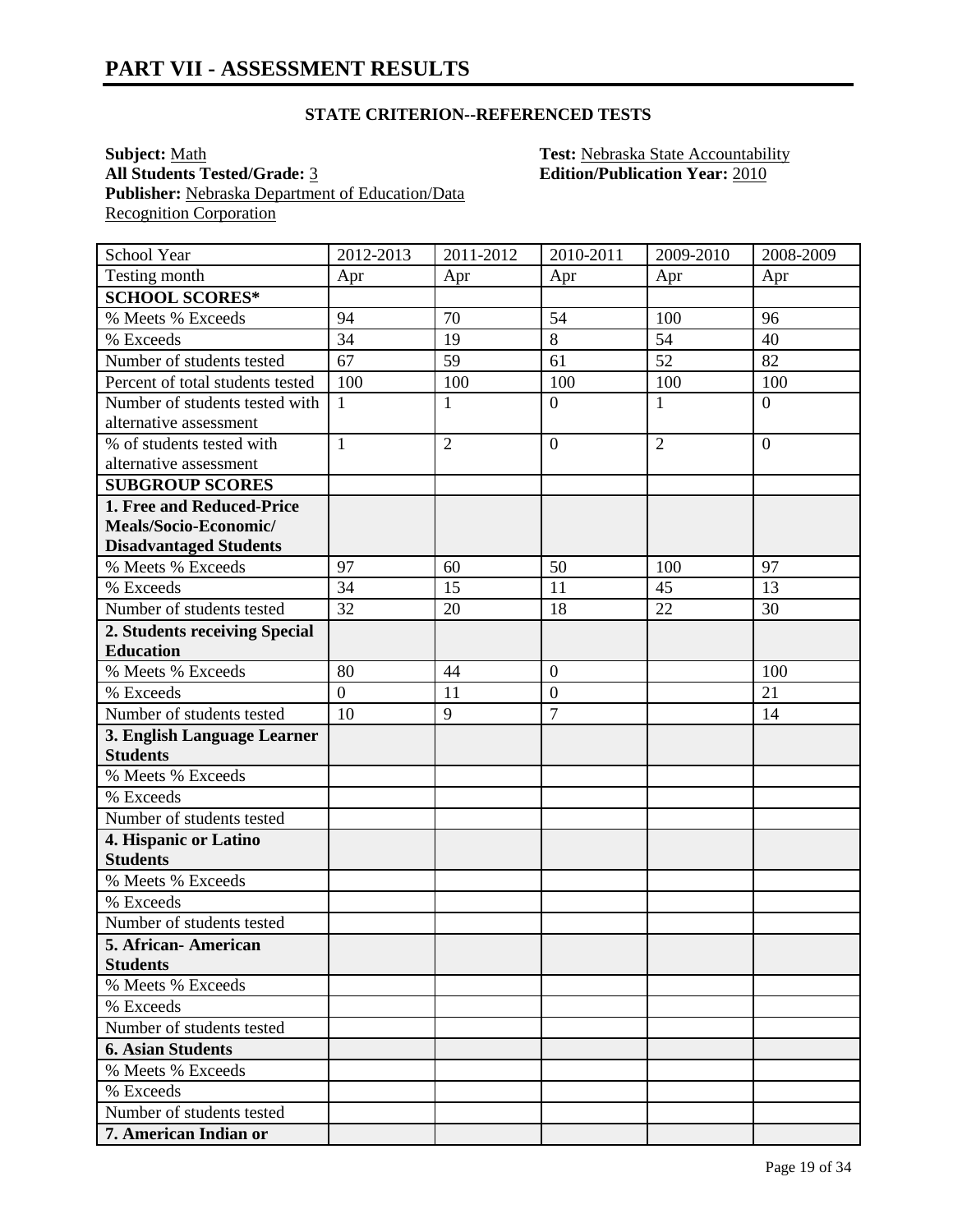**Subject:** <u>Math **Test:** Nebraska State Accountability</u><br> **All Students Tested/Grade:** <u>3</u> **Test: Nebraska State Accountability**<br> **Edition/Publication Year:** 2010 **Publisher:** Nebraska Department of Education/Data Recognition Corporation

**All Students Tested/Grade:** 3 **Edition/Publication Year:** 2010

| School Year                          | 2012-2013      | 2011-2012      | 2010-2011        | 2009-2010      | 2008-2009      |
|--------------------------------------|----------------|----------------|------------------|----------------|----------------|
| Testing month                        | Apr            | Apr            | Apr              | Apr            | Apr            |
| <b>SCHOOL SCORES*</b>                |                |                |                  |                |                |
| % Meets % Exceeds                    | 94             | 70             | 54               | 100            | 96             |
| % Exceeds                            | 34             | 19             | $\overline{8}$   | 54             | 40             |
| Number of students tested            | 67             | 59             | 61               | 52             | 82             |
| Percent of total students tested     | 100            | 100            | 100              | 100            | 100            |
| Number of students tested with       | $\mathbf{1}$   | $\mathbf{1}$   | $\overline{0}$   | 1              | $\overline{0}$ |
| alternative assessment               |                |                |                  |                |                |
| % of students tested with            | $\mathbf{1}$   | $\overline{2}$ | $\overline{0}$   | $\overline{2}$ | $\overline{0}$ |
| alternative assessment               |                |                |                  |                |                |
| <b>SUBGROUP SCORES</b>               |                |                |                  |                |                |
| 1. Free and Reduced-Price            |                |                |                  |                |                |
| Meals/Socio-Economic/                |                |                |                  |                |                |
| <b>Disadvantaged Students</b>        |                |                |                  |                |                |
| % Meets % Exceeds                    | 97             | 60             | 50               | 100            | 97             |
| % Exceeds                            | 34             | 15             | 11               | 45             | 13             |
| Number of students tested            | 32             | 20             | 18               | 22             | 30             |
| 2. Students receiving Special        |                |                |                  |                |                |
| <b>Education</b>                     |                |                |                  |                |                |
| % Meets % Exceeds                    | 80             | 44             | $\overline{0}$   |                | 100            |
| % Exceeds                            | $\overline{0}$ | 11             | $\boldsymbol{0}$ |                | 21             |
| Number of students tested            | 10             | 9              | $\overline{7}$   |                | 14             |
| 3. English Language Learner          |                |                |                  |                |                |
| <b>Students</b>                      |                |                |                  |                |                |
| % Meets % Exceeds                    |                |                |                  |                |                |
| % Exceeds                            |                |                |                  |                |                |
| Number of students tested            |                |                |                  |                |                |
| 4. Hispanic or Latino                |                |                |                  |                |                |
| <b>Students</b>                      |                |                |                  |                |                |
| % Meets % Exceeds                    |                |                |                  |                |                |
| % Exceeds                            |                |                |                  |                |                |
| Number of students tested            |                |                |                  |                |                |
| 5. African- American                 |                |                |                  |                |                |
| <b>Students</b><br>% Meets % Exceeds |                |                |                  |                |                |
| % Exceeds                            |                |                |                  |                |                |
|                                      |                |                |                  |                |                |
| Number of students tested            |                |                |                  |                |                |
| <b>6. Asian Students</b>             |                |                |                  |                |                |
| % Meets % Exceeds                    |                |                |                  |                |                |
| % Exceeds                            |                |                |                  |                |                |
| Number of students tested            |                |                |                  |                |                |
| 7. American Indian or                |                |                |                  |                |                |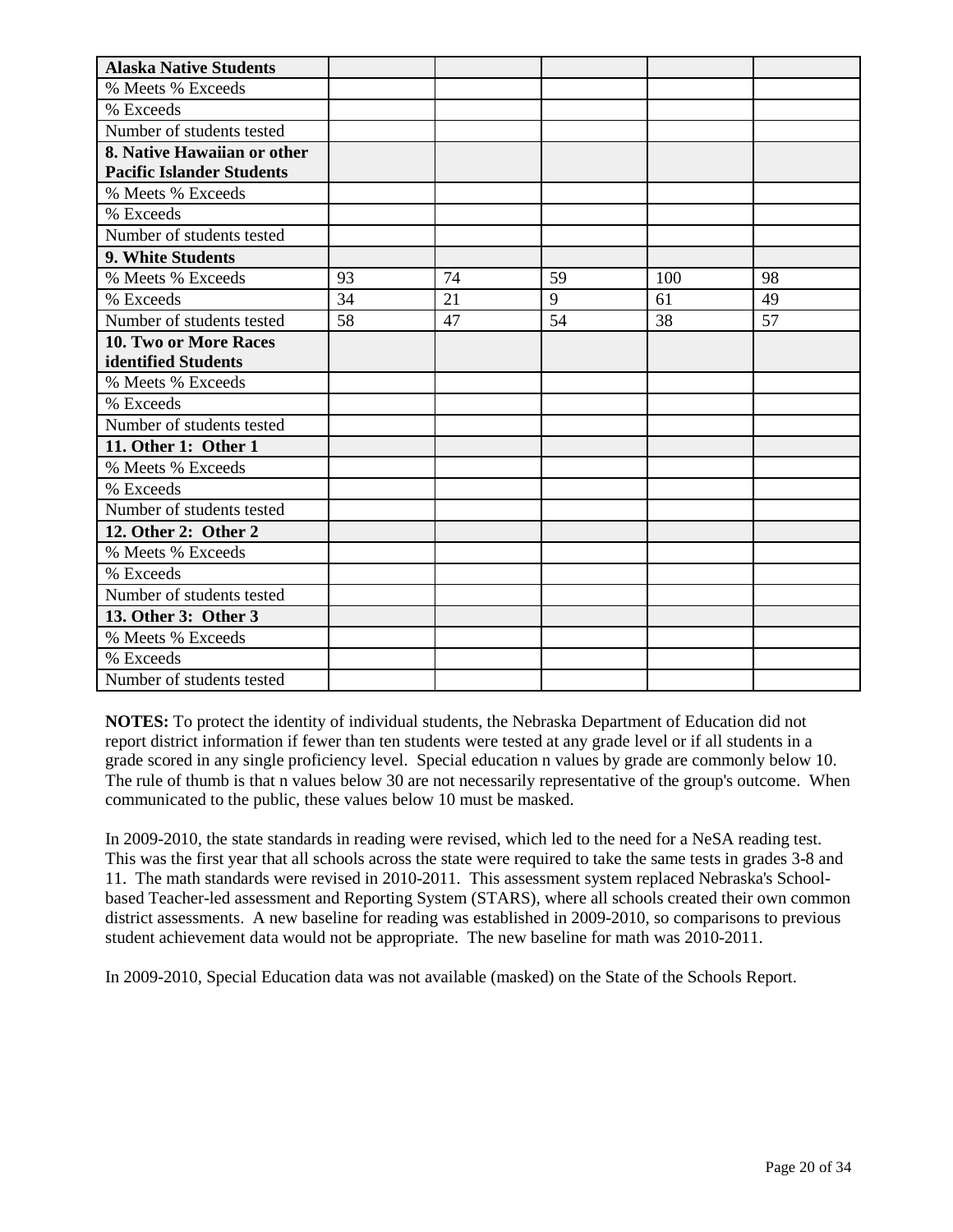| <b>Alaska Native Students</b>    |    |    |    |     |    |
|----------------------------------|----|----|----|-----|----|
| % Meets % Exceeds                |    |    |    |     |    |
| % Exceeds                        |    |    |    |     |    |
| Number of students tested        |    |    |    |     |    |
| 8. Native Hawaiian or other      |    |    |    |     |    |
| <b>Pacific Islander Students</b> |    |    |    |     |    |
| % Meets % Exceeds                |    |    |    |     |    |
| % Exceeds                        |    |    |    |     |    |
| Number of students tested        |    |    |    |     |    |
| 9. White Students                |    |    |    |     |    |
| % Meets % Exceeds                | 93 | 74 | 59 | 100 | 98 |
| % Exceeds                        | 34 | 21 | 9  | 61  | 49 |
| Number of students tested        | 58 | 47 | 54 | 38  | 57 |
| <b>10. Two or More Races</b>     |    |    |    |     |    |
| identified Students              |    |    |    |     |    |
| % Meets % Exceeds                |    |    |    |     |    |
| % Exceeds                        |    |    |    |     |    |
| Number of students tested        |    |    |    |     |    |
| 11. Other 1: Other 1             |    |    |    |     |    |
| % Meets % Exceeds                |    |    |    |     |    |
| % Exceeds                        |    |    |    |     |    |
| Number of students tested        |    |    |    |     |    |
| 12. Other 2: Other 2             |    |    |    |     |    |
| % Meets % Exceeds                |    |    |    |     |    |
| % Exceeds                        |    |    |    |     |    |
| Number of students tested        |    |    |    |     |    |
| 13. Other 3: Other 3             |    |    |    |     |    |
| % Meets % Exceeds                |    |    |    |     |    |
| % Exceeds                        |    |    |    |     |    |
| Number of students tested        |    |    |    |     |    |

In 2009-2010, the state standards in reading were revised, which led to the need for a NeSA reading test. This was the first year that all schools across the state were required to take the same tests in grades 3-8 and 11. The math standards were revised in 2010-2011. This assessment system replaced Nebraska's Schoolbased Teacher-led assessment and Reporting System (STARS), where all schools created their own common district assessments. A new baseline for reading was established in 2009-2010, so comparisons to previous student achievement data would not be appropriate. The new baseline for math was 2010-2011.

In 2009-2010, Special Education data was not available (masked) on the State of the Schools Report.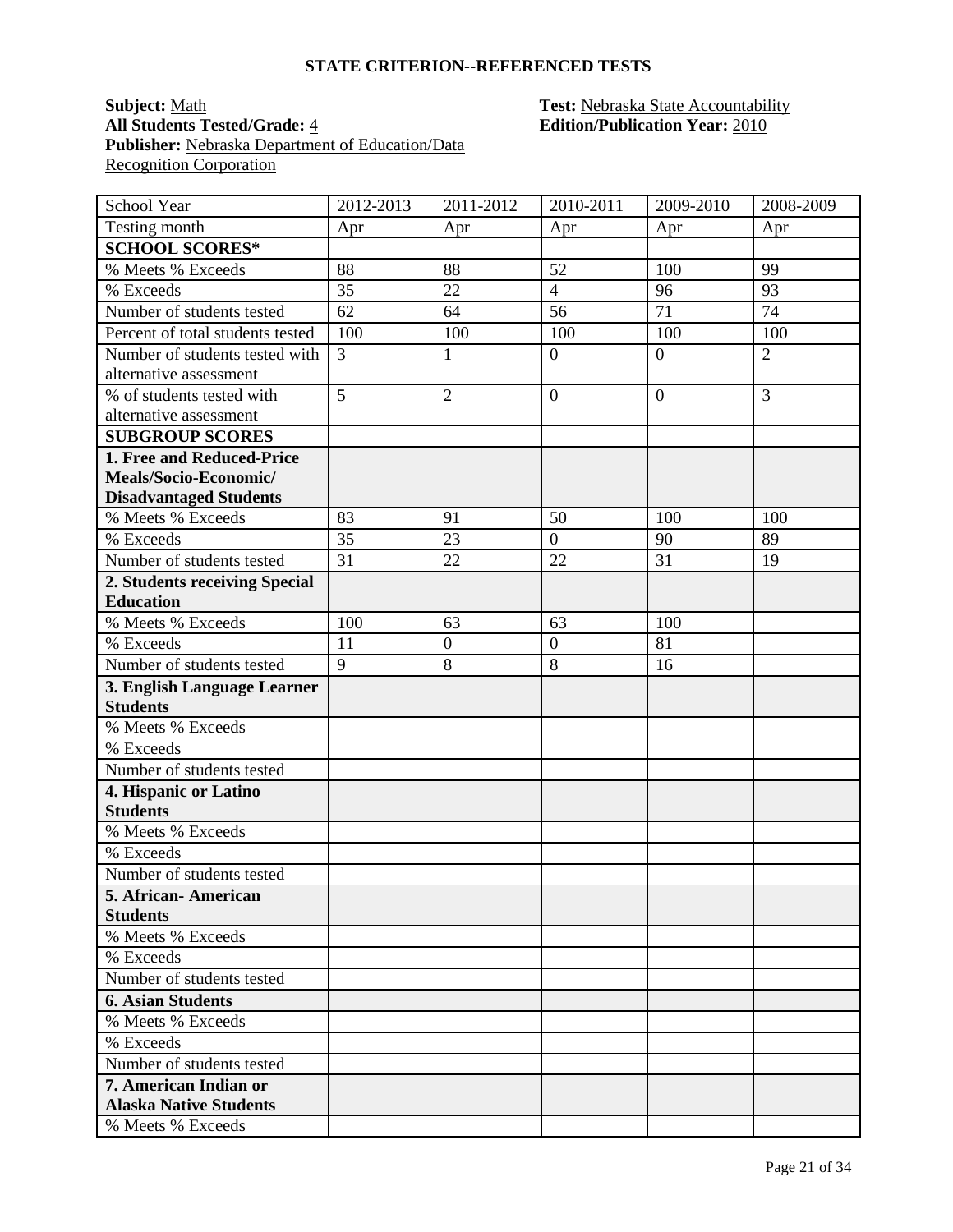#### **Subject:** <u>Math</u> **Test: Nebraska State Accountability All Students Tested/Grade:** 4 **Edition/Publication Year:** 2010 **Publisher:** Nebraska Department of Education/Data **Recognition Corporation**

| School Year                      | 2012-2013      | 2011-2012        | 2010-2011        | 2009-2010      | 2008-2009      |
|----------------------------------|----------------|------------------|------------------|----------------|----------------|
| Testing month                    | Apr            | Apr              | Apr              | Apr            | Apr            |
| <b>SCHOOL SCORES*</b>            |                |                  |                  |                |                |
| % Meets % Exceeds                | 88             | 88               | 52               | 100            | 99             |
| % Exceeds                        | 35             | 22               | $\overline{4}$   | 96             | 93             |
| Number of students tested        | 62             | 64               | 56               | 71             | 74             |
| Percent of total students tested | 100            | 100              | 100              | 100            | 100            |
| Number of students tested with   | $\overline{3}$ | $\mathbf{1}$     | $\overline{0}$   | $\overline{0}$ | $\overline{2}$ |
| alternative assessment           |                |                  |                  |                |                |
| % of students tested with        | $\overline{5}$ | $\overline{2}$   | $\overline{0}$   | $\overline{0}$ | 3              |
| alternative assessment           |                |                  |                  |                |                |
| <b>SUBGROUP SCORES</b>           |                |                  |                  |                |                |
| 1. Free and Reduced-Price        |                |                  |                  |                |                |
| Meals/Socio-Economic/            |                |                  |                  |                |                |
| <b>Disadvantaged Students</b>    |                |                  |                  |                |                |
| % Meets % Exceeds                | 83             | 91               | 50               | 100            | 100            |
| % Exceeds                        | 35             | 23               | $\overline{0}$   | 90             | 89             |
| Number of students tested        | 31             | 22               | 22               | 31             | 19             |
| 2. Students receiving Special    |                |                  |                  |                |                |
| <b>Education</b>                 |                |                  |                  |                |                |
| % Meets % Exceeds                | 100            | 63               | 63               | 100            |                |
| % Exceeds                        | 11             | $\boldsymbol{0}$ | $\boldsymbol{0}$ | 81             |                |
| Number of students tested        | $\overline{9}$ | 8                | 8                | 16             |                |
| 3. English Language Learner      |                |                  |                  |                |                |
| <b>Students</b>                  |                |                  |                  |                |                |
| % Meets % Exceeds                |                |                  |                  |                |                |
| % Exceeds                        |                |                  |                  |                |                |
| Number of students tested        |                |                  |                  |                |                |
| 4. Hispanic or Latino            |                |                  |                  |                |                |
| <b>Students</b>                  |                |                  |                  |                |                |
| % Meets % Exceeds                |                |                  |                  |                |                |
| % Exceeds                        |                |                  |                  |                |                |
| Number of students tested        |                |                  |                  |                |                |
| 5. African-American              |                |                  |                  |                |                |
| <b>Students</b>                  |                |                  |                  |                |                |
| % Meets % Exceeds                |                |                  |                  |                |                |
| % Exceeds                        |                |                  |                  |                |                |
| Number of students tested        |                |                  |                  |                |                |
| <b>6. Asian Students</b>         |                |                  |                  |                |                |
| % Meets % Exceeds                |                |                  |                  |                |                |
| % Exceeds                        |                |                  |                  |                |                |
| Number of students tested        |                |                  |                  |                |                |
| 7. American Indian or            |                |                  |                  |                |                |
| <b>Alaska Native Students</b>    |                |                  |                  |                |                |
| % Meets % Exceeds                |                |                  |                  |                |                |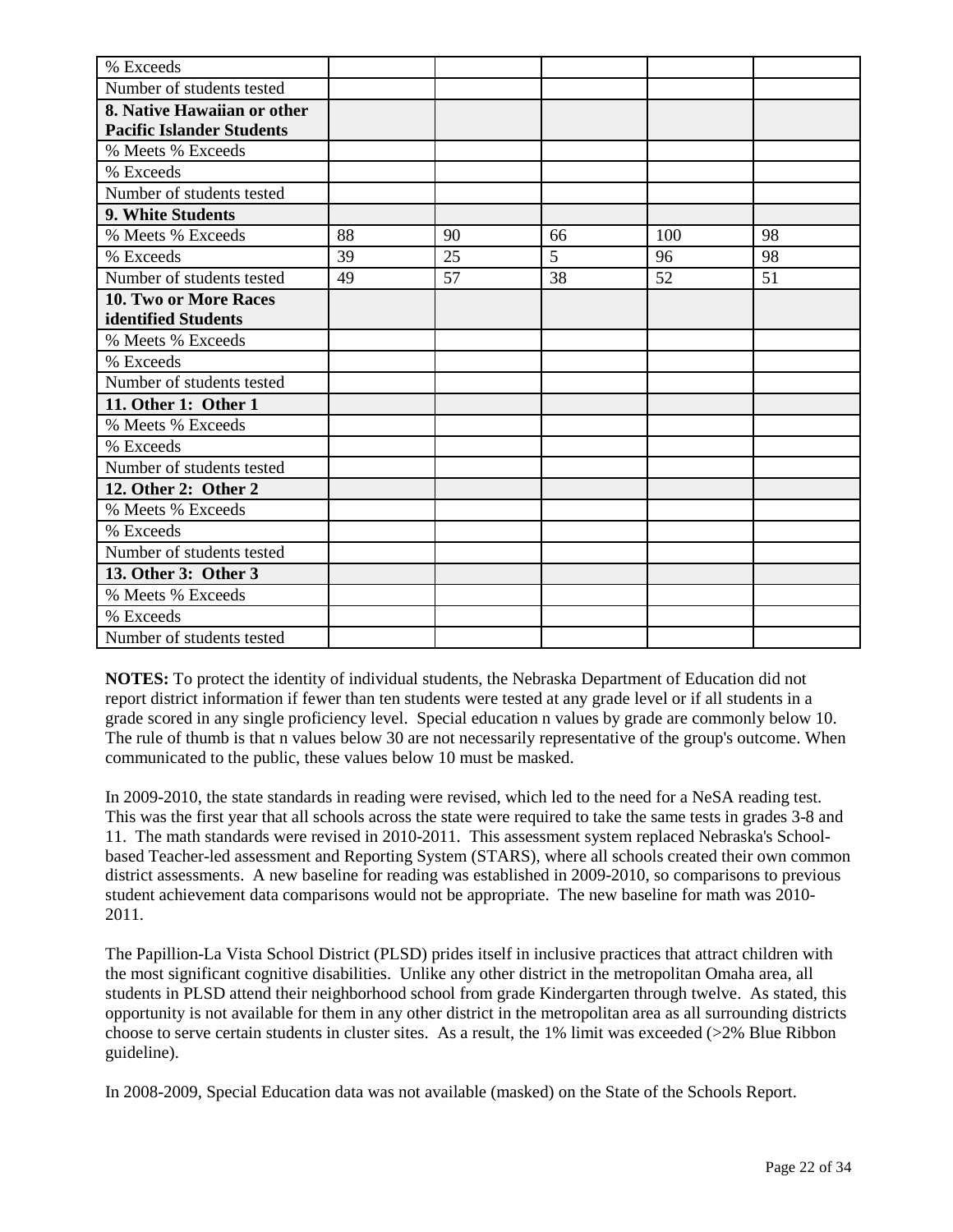| % Exceeds                        |    |    |    |     |    |
|----------------------------------|----|----|----|-----|----|
| Number of students tested        |    |    |    |     |    |
| 8. Native Hawaiian or other      |    |    |    |     |    |
| <b>Pacific Islander Students</b> |    |    |    |     |    |
| % Meets % Exceeds                |    |    |    |     |    |
| % Exceeds                        |    |    |    |     |    |
| Number of students tested        |    |    |    |     |    |
| 9. White Students                |    |    |    |     |    |
| % Meets % Exceeds                | 88 | 90 | 66 | 100 | 98 |
| % Exceeds                        | 39 | 25 | 5  | 96  | 98 |
| Number of students tested        | 49 | 57 | 38 | 52  | 51 |
| <b>10. Two or More Races</b>     |    |    |    |     |    |
| identified Students              |    |    |    |     |    |
| % Meets % Exceeds                |    |    |    |     |    |
| % Exceeds                        |    |    |    |     |    |
| Number of students tested        |    |    |    |     |    |
| 11. Other 1: Other 1             |    |    |    |     |    |
| % Meets % Exceeds                |    |    |    |     |    |
| % Exceeds                        |    |    |    |     |    |
| Number of students tested        |    |    |    |     |    |
| 12. Other 2: Other 2             |    |    |    |     |    |
| % Meets % Exceeds                |    |    |    |     |    |
| % Exceeds                        |    |    |    |     |    |
| Number of students tested        |    |    |    |     |    |
| 13. Other 3: Other 3             |    |    |    |     |    |
| % Meets % Exceeds                |    |    |    |     |    |
| % Exceeds                        |    |    |    |     |    |
| Number of students tested        |    |    |    |     |    |

In 2009-2010, the state standards in reading were revised, which led to the need for a NeSA reading test. This was the first year that all schools across the state were required to take the same tests in grades 3-8 and 11. The math standards were revised in 2010-2011. This assessment system replaced Nebraska's Schoolbased Teacher-led assessment and Reporting System (STARS), where all schools created their own common district assessments. A new baseline for reading was established in 2009-2010, so comparisons to previous student achievement data comparisons would not be appropriate. The new baseline for math was 2010- 2011.

The Papillion-La Vista School District (PLSD) prides itself in inclusive practices that attract children with the most significant cognitive disabilities. Unlike any other district in the metropolitan Omaha area, all students in PLSD attend their neighborhood school from grade Kindergarten through twelve. As stated, this opportunity is not available for them in any other district in the metropolitan area as all surrounding districts choose to serve certain students in cluster sites. As a result, the 1% limit was exceeded (>2% Blue Ribbon guideline).

In 2008-2009, Special Education data was not available (masked) on the State of the Schools Report.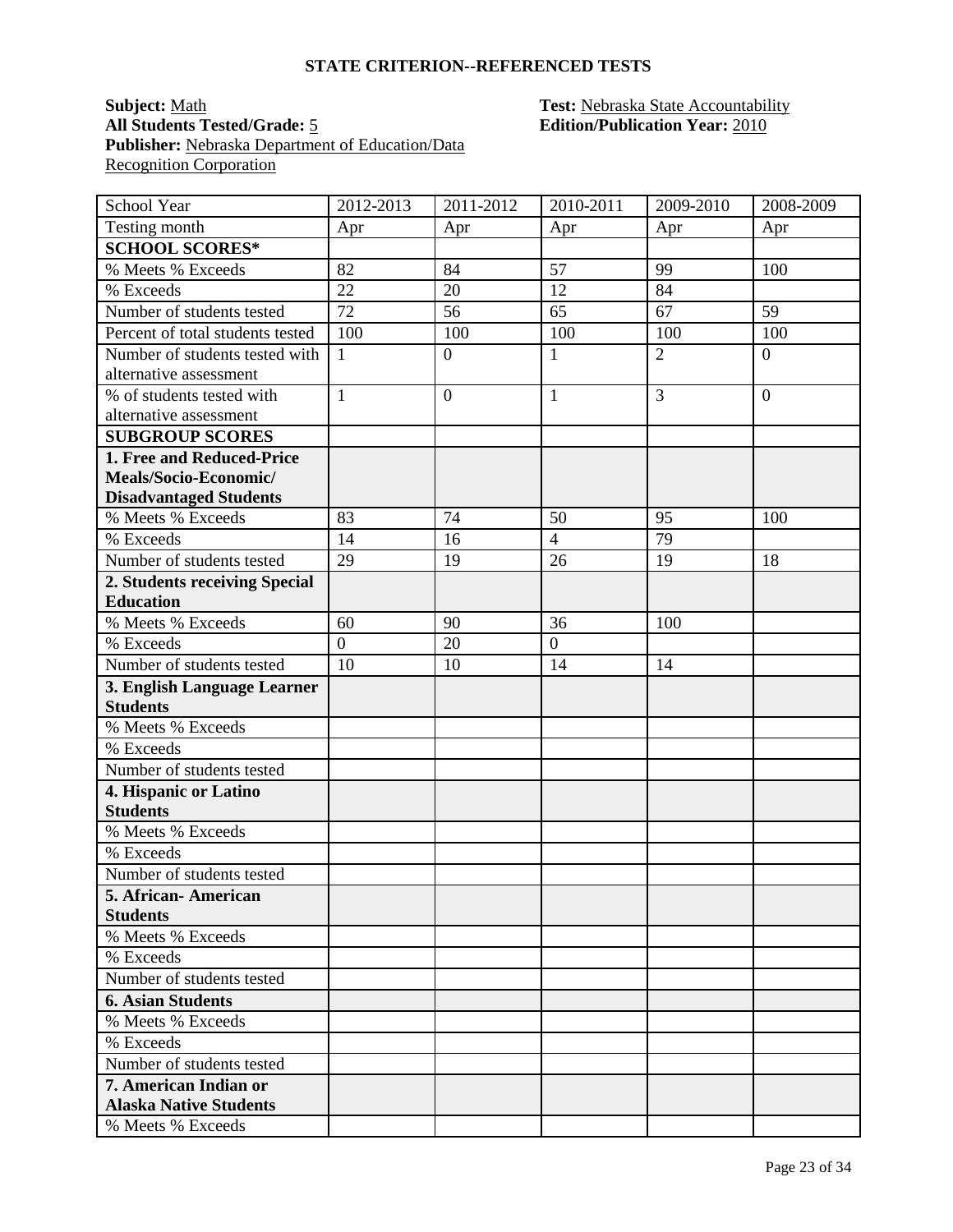#### **Subject:** <u>Math</u> **Test: Nebraska State Accountability All Students Tested/Grade:** 5 **Edition/Publication Year:** 2010 Publisher: Nebraska Department of Education/Data **Recognition Corporation**

| School Year                      | 2012-2013      | 2011-2012        | 2010-2011      | 2009-2010      | 2008-2009      |
|----------------------------------|----------------|------------------|----------------|----------------|----------------|
| Testing month                    | Apr            | Apr              | Apr            | Apr            | Apr            |
| <b>SCHOOL SCORES*</b>            |                |                  |                |                |                |
| % Meets % Exceeds                | 82             | 84               | 57             | 99             | 100            |
| % Exceeds                        | 22             | 20               | 12             | 84             |                |
| Number of students tested        | 72             | 56               | 65             | 67             | 59             |
| Percent of total students tested | 100            | 100              | 100            | 100            | 100            |
| Number of students tested with   | $\mathbf{1}$   | $\overline{0}$   | $\mathbf{1}$   | $\overline{2}$ | $\overline{0}$ |
| alternative assessment           |                |                  |                |                |                |
| % of students tested with        | $\mathbf{1}$   | $\boldsymbol{0}$ | $\mathbf{1}$   | 3              | $\overline{0}$ |
| alternative assessment           |                |                  |                |                |                |
| <b>SUBGROUP SCORES</b>           |                |                  |                |                |                |
| 1. Free and Reduced-Price        |                |                  |                |                |                |
| Meals/Socio-Economic/            |                |                  |                |                |                |
| <b>Disadvantaged Students</b>    |                |                  |                |                |                |
| % Meets % Exceeds                | 83             | 74               | 50             | 95             | 100            |
| % Exceeds                        | 14             | 16               | $\overline{4}$ | 79             |                |
| Number of students tested        | 29             | 19               | 26             | 19             | 18             |
| 2. Students receiving Special    |                |                  |                |                |                |
| <b>Education</b>                 |                |                  |                |                |                |
| % Meets % Exceeds                | 60             | 90               | 36             | 100            |                |
| % Exceeds                        | $\overline{0}$ | 20               | $\mathbf{0}$   |                |                |
| Number of students tested        | 10             | 10               | 14             | 14             |                |
| 3. English Language Learner      |                |                  |                |                |                |
| <b>Students</b>                  |                |                  |                |                |                |
| % Meets % Exceeds                |                |                  |                |                |                |
| % Exceeds                        |                |                  |                |                |                |
| Number of students tested        |                |                  |                |                |                |
| 4. Hispanic or Latino            |                |                  |                |                |                |
| <b>Students</b>                  |                |                  |                |                |                |
| % Meets % Exceeds                |                |                  |                |                |                |
| % Exceeds                        |                |                  |                |                |                |
| Number of students tested        |                |                  |                |                |                |
| 5. African-American              |                |                  |                |                |                |
| <b>Students</b>                  |                |                  |                |                |                |
| % Meets % Exceeds                |                |                  |                |                |                |
| % Exceeds                        |                |                  |                |                |                |
| Number of students tested        |                |                  |                |                |                |
| <b>6. Asian Students</b>         |                |                  |                |                |                |
| % Meets % Exceeds                |                |                  |                |                |                |
| % Exceeds                        |                |                  |                |                |                |
| Number of students tested        |                |                  |                |                |                |
| 7. American Indian or            |                |                  |                |                |                |
| <b>Alaska Native Students</b>    |                |                  |                |                |                |
| % Meets % Exceeds                |                |                  |                |                |                |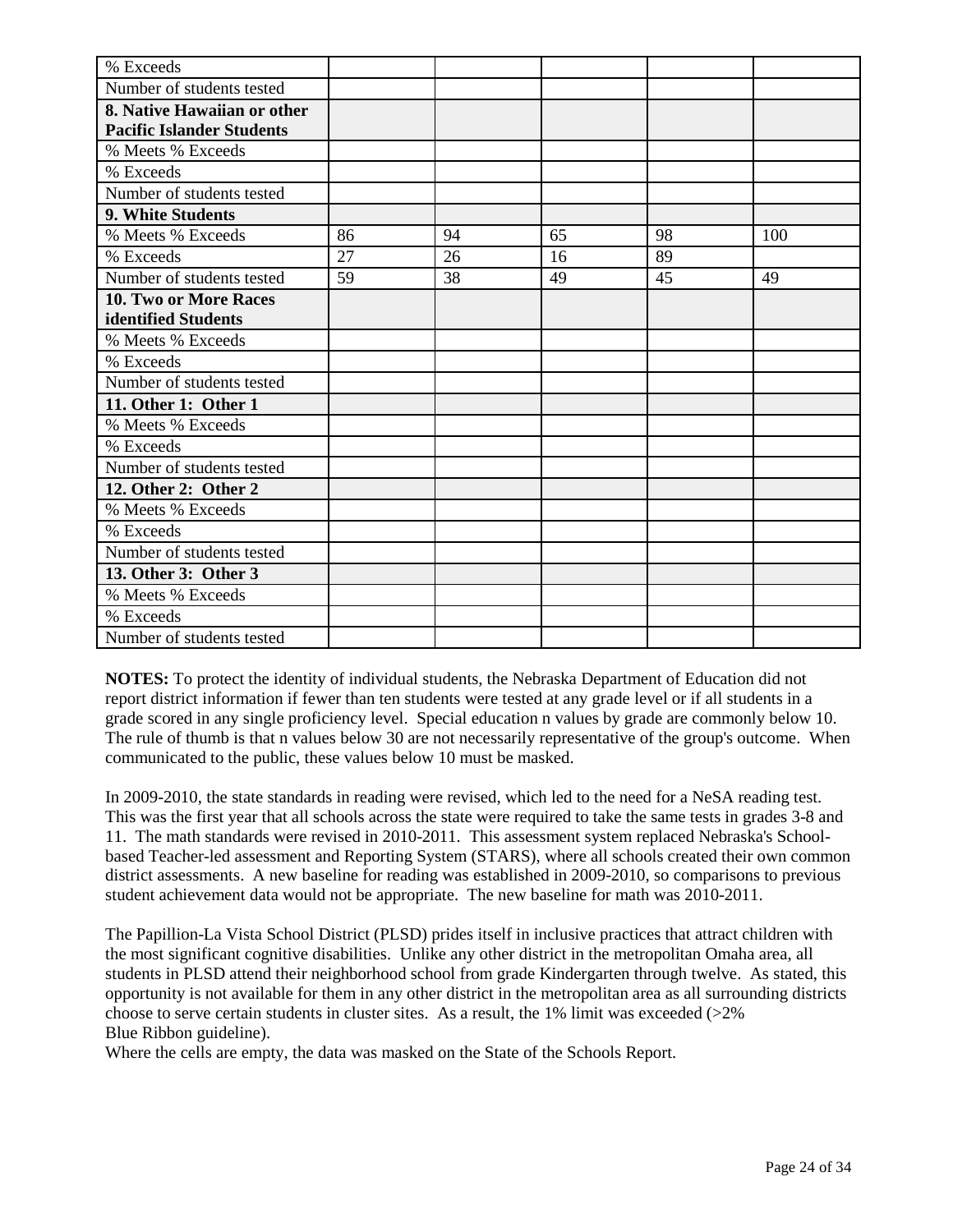| % Exceeds                        |    |    |    |    |     |
|----------------------------------|----|----|----|----|-----|
| Number of students tested        |    |    |    |    |     |
| 8. Native Hawaiian or other      |    |    |    |    |     |
| <b>Pacific Islander Students</b> |    |    |    |    |     |
| % Meets % Exceeds                |    |    |    |    |     |
| % Exceeds                        |    |    |    |    |     |
| Number of students tested        |    |    |    |    |     |
| 9. White Students                |    |    |    |    |     |
| % Meets % Exceeds                | 86 | 94 | 65 | 98 | 100 |
| % Exceeds                        | 27 | 26 | 16 | 89 |     |
| Number of students tested        | 59 | 38 | 49 | 45 | 49  |
| <b>10. Two or More Races</b>     |    |    |    |    |     |
| identified Students              |    |    |    |    |     |
| % Meets % Exceeds                |    |    |    |    |     |
| % Exceeds                        |    |    |    |    |     |
| Number of students tested        |    |    |    |    |     |
| 11. Other 1: Other 1             |    |    |    |    |     |
| % Meets % Exceeds                |    |    |    |    |     |
| % Exceeds                        |    |    |    |    |     |
| Number of students tested        |    |    |    |    |     |
| 12. Other 2: Other 2             |    |    |    |    |     |
| % Meets % Exceeds                |    |    |    |    |     |
| % Exceeds                        |    |    |    |    |     |
| Number of students tested        |    |    |    |    |     |
| 13. Other 3: Other 3             |    |    |    |    |     |
| % Meets % Exceeds                |    |    |    |    |     |
| % Exceeds                        |    |    |    |    |     |
| Number of students tested        |    |    |    |    |     |

In 2009-2010, the state standards in reading were revised, which led to the need for a NeSA reading test. This was the first year that all schools across the state were required to take the same tests in grades 3-8 and 11. The math standards were revised in 2010-2011. This assessment system replaced Nebraska's Schoolbased Teacher-led assessment and Reporting System (STARS), where all schools created their own common district assessments. A new baseline for reading was established in 2009-2010, so comparisons to previous student achievement data would not be appropriate. The new baseline for math was 2010-2011.

The Papillion-La Vista School District (PLSD) prides itself in inclusive practices that attract children with the most significant cognitive disabilities. Unlike any other district in the metropolitan Omaha area, all students in PLSD attend their neighborhood school from grade Kindergarten through twelve. As stated, this opportunity is not available for them in any other district in the metropolitan area as all surrounding districts choose to serve certain students in cluster sites. As a result, the  $1\%$  limit was exceeded ( $>2\%$ Blue Ribbon guideline).

Where the cells are empty, the data was masked on the State of the Schools Report.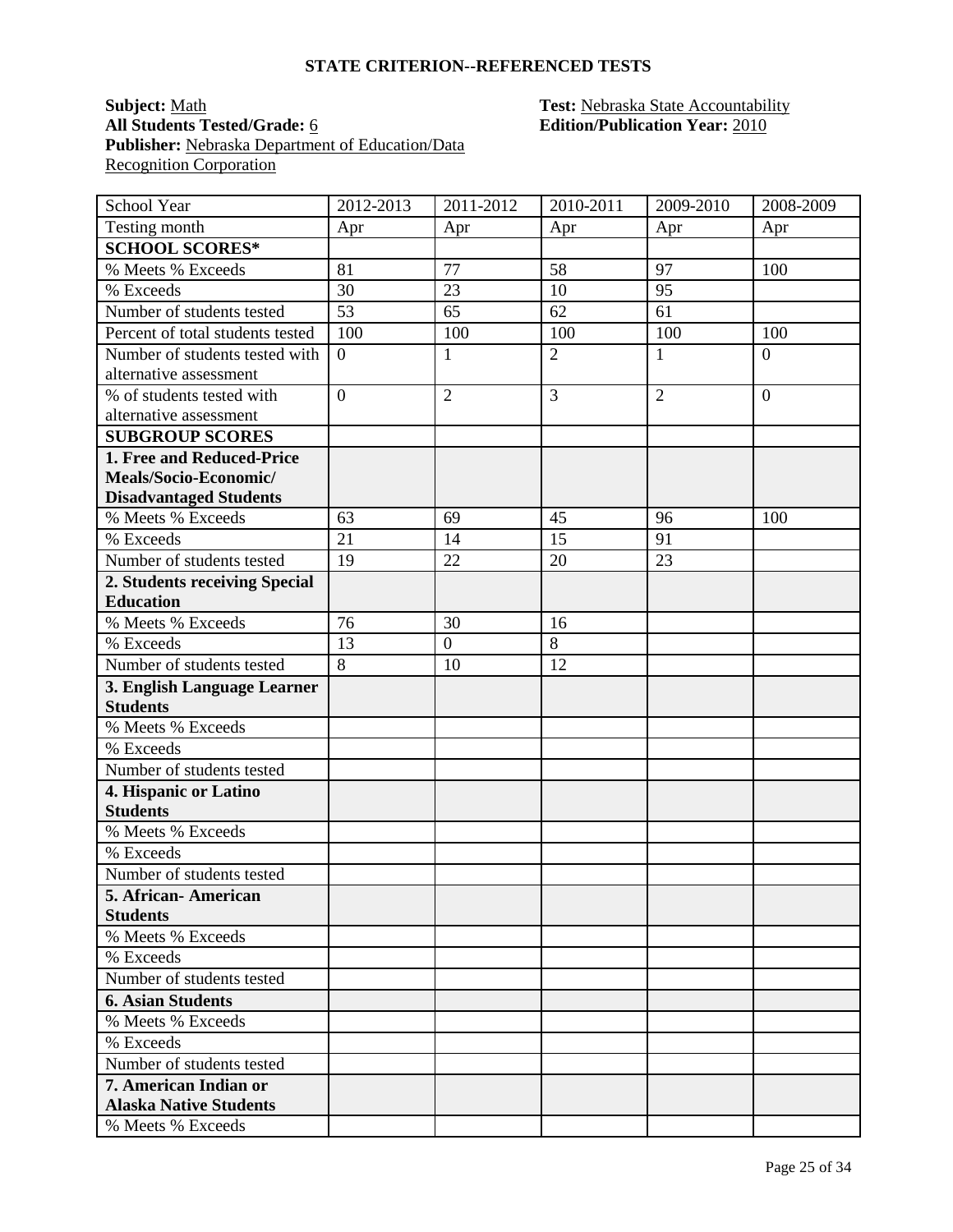#### **Subject:** <u>Math</u> **Test: Nebraska State Accountability All Students Tested/Grade:** 6 **Edition/Publication Year:** 2010 **Publisher:** Nebraska Department of Education/Data **Recognition Corporation**

| School Year                                              | 2012-2013        | $2011 - 2012$    | 2010-2011      | 2009-2010      | 2008-2009      |
|----------------------------------------------------------|------------------|------------------|----------------|----------------|----------------|
| Testing month                                            | Apr              | Apr              | Apr            | Apr            | Apr            |
| <b>SCHOOL SCORES*</b>                                    |                  |                  |                |                |                |
| % Meets % Exceeds                                        | 81               | 77               | 58             | 97             | 100            |
| % Exceeds                                                | 30               | 23               | 10             | 95             |                |
| Number of students tested                                | 53               | 65               | 62             | 61             |                |
| Percent of total students tested                         | 100              | 100              | 100            | 100            | 100            |
| Number of students tested with<br>alternative assessment | $\boldsymbol{0}$ | $\mathbf{1}$     | $\overline{2}$ | $\mathbf{1}$   | $\overline{0}$ |
| % of students tested with<br>alternative assessment      | $\overline{0}$   | $\overline{2}$   | 3              | $\overline{2}$ | $\overline{0}$ |
| <b>SUBGROUP SCORES</b>                                   |                  |                  |                |                |                |
| 1. Free and Reduced-Price                                |                  |                  |                |                |                |
| Meals/Socio-Economic/                                    |                  |                  |                |                |                |
| <b>Disadvantaged Students</b>                            |                  |                  |                |                |                |
| % Meets % Exceeds                                        | 63               | 69               | 45             | 96             | 100            |
| % Exceeds                                                | 21               | 14               | 15             | 91             |                |
| Number of students tested                                | 19               | 22               | 20             | 23             |                |
| 2. Students receiving Special                            |                  |                  |                |                |                |
| <b>Education</b>                                         |                  |                  |                |                |                |
| % Meets % Exceeds                                        | 76               | 30               | 16             |                |                |
| % Exceeds                                                | 13               | $\boldsymbol{0}$ | 8              |                |                |
| Number of students tested                                | $\overline{8}$   | 10               | 12             |                |                |
| 3. English Language Learner                              |                  |                  |                |                |                |
| <b>Students</b>                                          |                  |                  |                |                |                |
| % Meets % Exceeds                                        |                  |                  |                |                |                |
| % Exceeds                                                |                  |                  |                |                |                |
| Number of students tested                                |                  |                  |                |                |                |
| 4. Hispanic or Latino<br><b>Students</b>                 |                  |                  |                |                |                |
| % Meets % Exceeds                                        |                  |                  |                |                |                |
| % Exceeds                                                |                  |                  |                |                |                |
| Number of students tested                                |                  |                  |                |                |                |
| 5. African-American                                      |                  |                  |                |                |                |
| <b>Students</b>                                          |                  |                  |                |                |                |
| % Meets % Exceeds                                        |                  |                  |                |                |                |
| % Exceeds                                                |                  |                  |                |                |                |
| Number of students tested                                |                  |                  |                |                |                |
| <b>6. Asian Students</b>                                 |                  |                  |                |                |                |
| % Meets % Exceeds                                        |                  |                  |                |                |                |
| % Exceeds                                                |                  |                  |                |                |                |
| Number of students tested                                |                  |                  |                |                |                |
| 7. American Indian or                                    |                  |                  |                |                |                |
| <b>Alaska Native Students</b>                            |                  |                  |                |                |                |
| % Meets % Exceeds                                        |                  |                  |                |                |                |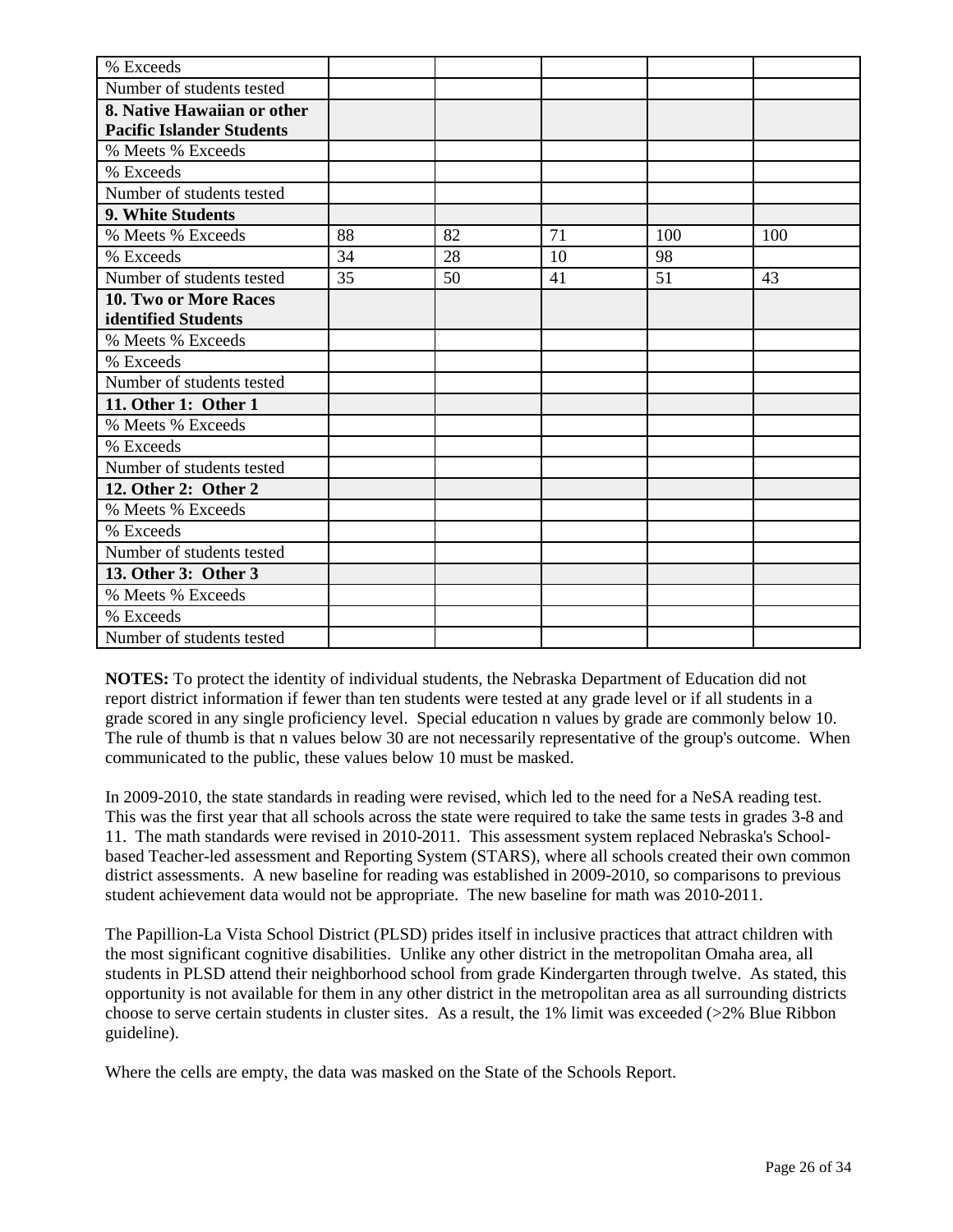| % Exceeds                        |    |    |    |     |     |
|----------------------------------|----|----|----|-----|-----|
| Number of students tested        |    |    |    |     |     |
| 8. Native Hawaiian or other      |    |    |    |     |     |
| <b>Pacific Islander Students</b> |    |    |    |     |     |
| % Meets % Exceeds                |    |    |    |     |     |
| % Exceeds                        |    |    |    |     |     |
| Number of students tested        |    |    |    |     |     |
| 9. White Students                |    |    |    |     |     |
| % Meets % Exceeds                | 88 | 82 | 71 | 100 | 100 |
| % Exceeds                        | 34 | 28 | 10 | 98  |     |
| Number of students tested        | 35 | 50 | 41 | 51  | 43  |
| 10. Two or More Races            |    |    |    |     |     |
| identified Students              |    |    |    |     |     |
| % Meets % Exceeds                |    |    |    |     |     |
| % Exceeds                        |    |    |    |     |     |
| Number of students tested        |    |    |    |     |     |
| 11. Other 1: Other 1             |    |    |    |     |     |
| % Meets % Exceeds                |    |    |    |     |     |
| % Exceeds                        |    |    |    |     |     |
| Number of students tested        |    |    |    |     |     |
| 12. Other 2: Other 2             |    |    |    |     |     |
| % Meets % Exceeds                |    |    |    |     |     |
| % Exceeds                        |    |    |    |     |     |
| Number of students tested        |    |    |    |     |     |
| 13. Other 3: Other 3             |    |    |    |     |     |
| % Meets % Exceeds                |    |    |    |     |     |
| % Exceeds                        |    |    |    |     |     |
| Number of students tested        |    |    |    |     |     |

In 2009-2010, the state standards in reading were revised, which led to the need for a NeSA reading test. This was the first year that all schools across the state were required to take the same tests in grades 3-8 and 11. The math standards were revised in 2010-2011. This assessment system replaced Nebraska's Schoolbased Teacher-led assessment and Reporting System (STARS), where all schools created their own common district assessments. A new baseline for reading was established in 2009-2010, so comparisons to previous student achievement data would not be appropriate. The new baseline for math was 2010-2011.

The Papillion-La Vista School District (PLSD) prides itself in inclusive practices that attract children with the most significant cognitive disabilities. Unlike any other district in the metropolitan Omaha area, all students in PLSD attend their neighborhood school from grade Kindergarten through twelve. As stated, this opportunity is not available for them in any other district in the metropolitan area as all surrounding districts choose to serve certain students in cluster sites. As a result, the 1% limit was exceeded (>2% Blue Ribbon guideline).

Where the cells are empty, the data was masked on the State of the Schools Report.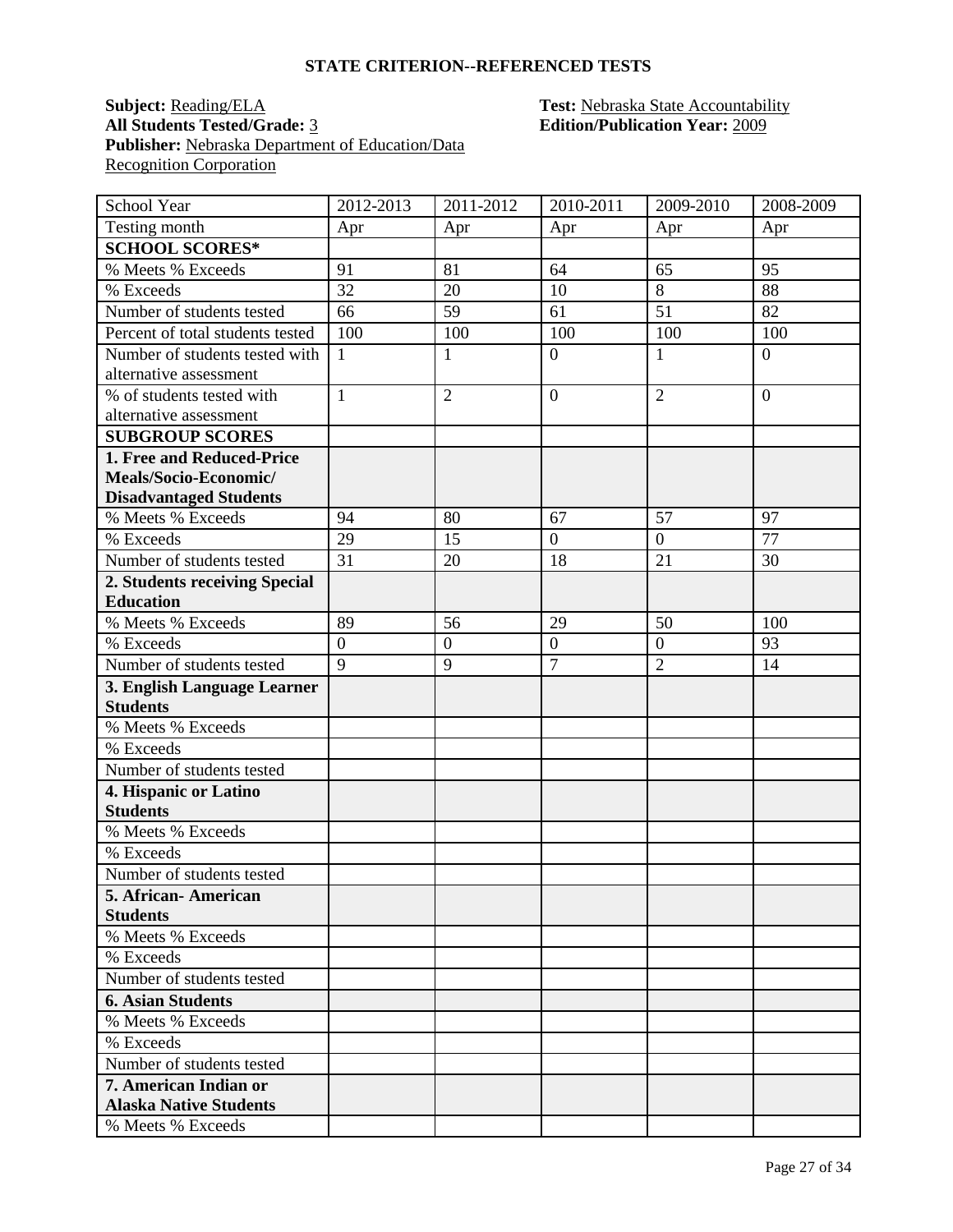#### **Subject: Reading/ELA Test: Nebraska State Accountability All Students Tested/Grade:** 3 **Edition/Publication Year:** 2009 Publisher: Nebraska Department of Education/Data **Recognition Corporation**

| School Year                                              | 2012-2013      | $2011 - 2012$    | 2010-2011        | 2009-2010      | 2008-2009      |
|----------------------------------------------------------|----------------|------------------|------------------|----------------|----------------|
| Testing month                                            | Apr            | Apr              | Apr              | Apr            | Apr            |
| <b>SCHOOL SCORES*</b>                                    |                |                  |                  |                |                |
| % Meets % Exceeds                                        | 91             | 81               | 64               | 65             | 95             |
| % Exceeds                                                | 32             | 20               | 10               | 8              | 88             |
| Number of students tested                                | 66             | 59               | 61               | 51             | 82             |
| Percent of total students tested                         | 100            | 100              | 100              | 100            | 100            |
| Number of students tested with<br>alternative assessment | $\mathbf{1}$   | $\mathbf{1}$     | $\overline{0}$   | $\mathbf{1}$   | $\overline{0}$ |
| % of students tested with<br>alternative assessment      | $\mathbf{1}$   | $\overline{2}$   | $\overline{0}$   | $\overline{2}$ | $\overline{0}$ |
| <b>SUBGROUP SCORES</b>                                   |                |                  |                  |                |                |
| 1. Free and Reduced-Price                                |                |                  |                  |                |                |
| Meals/Socio-Economic/                                    |                |                  |                  |                |                |
| <b>Disadvantaged Students</b>                            |                |                  |                  |                |                |
| % Meets % Exceeds                                        | 94             | 80               | 67               | 57             | 97             |
| % Exceeds                                                | 29             | 15               | $\overline{0}$   | $\overline{0}$ | 77             |
| Number of students tested                                | 31             | 20               | 18               | 21             | 30             |
| 2. Students receiving Special                            |                |                  |                  |                |                |
| <b>Education</b>                                         |                |                  |                  |                |                |
| % Meets % Exceeds                                        | 89             | 56               | 29               | 50             | 100            |
| % Exceeds                                                | $\overline{0}$ | $\boldsymbol{0}$ | $\boldsymbol{0}$ | $\overline{0}$ | 93             |
| Number of students tested                                | $\overline{9}$ | 9                | $\overline{7}$   | $\overline{2}$ | 14             |
| 3. English Language Learner                              |                |                  |                  |                |                |
| <b>Students</b>                                          |                |                  |                  |                |                |
| % Meets % Exceeds                                        |                |                  |                  |                |                |
| % Exceeds                                                |                |                  |                  |                |                |
| Number of students tested                                |                |                  |                  |                |                |
| 4. Hispanic or Latino                                    |                |                  |                  |                |                |
| <b>Students</b>                                          |                |                  |                  |                |                |
| % Meets % Exceeds                                        |                |                  |                  |                |                |
| % Exceeds                                                |                |                  |                  |                |                |
| Number of students tested                                |                |                  |                  |                |                |
| 5. African-American                                      |                |                  |                  |                |                |
| <b>Students</b><br>% Meets % Exceeds                     |                |                  |                  |                |                |
|                                                          |                |                  |                  |                |                |
| % Exceeds<br>Number of students tested                   |                |                  |                  |                |                |
| <b>6. Asian Students</b>                                 |                |                  |                  |                |                |
| % Meets % Exceeds                                        |                |                  |                  |                |                |
| % Exceeds                                                |                |                  |                  |                |                |
| Number of students tested                                |                |                  |                  |                |                |
| <b>7. American Indian or</b>                             |                |                  |                  |                |                |
| <b>Alaska Native Students</b>                            |                |                  |                  |                |                |
| % Meets % Exceeds                                        |                |                  |                  |                |                |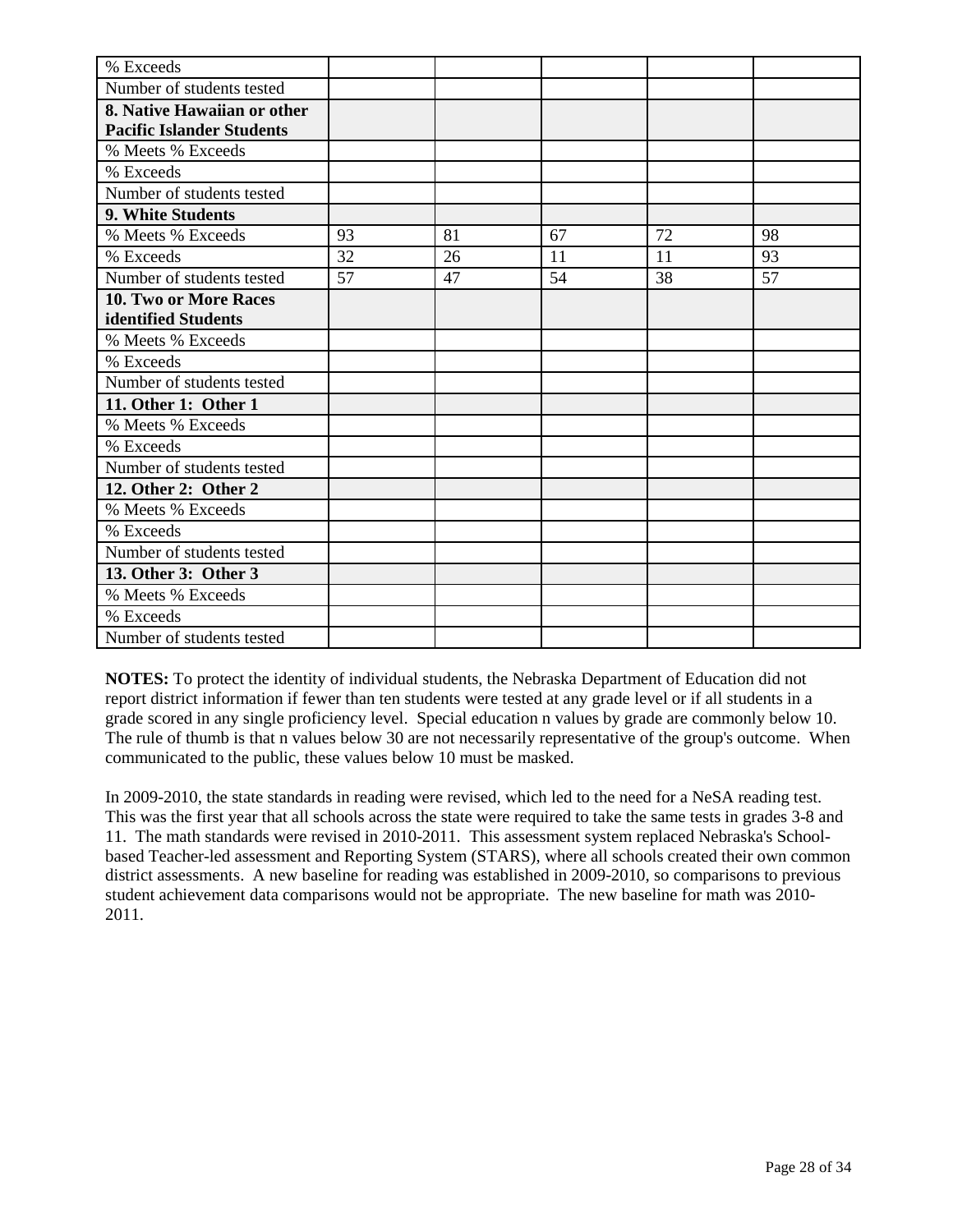| % Exceeds                        |    |    |    |    |    |
|----------------------------------|----|----|----|----|----|
| Number of students tested        |    |    |    |    |    |
| 8. Native Hawaiian or other      |    |    |    |    |    |
| <b>Pacific Islander Students</b> |    |    |    |    |    |
| % Meets % Exceeds                |    |    |    |    |    |
| % Exceeds                        |    |    |    |    |    |
| Number of students tested        |    |    |    |    |    |
| 9. White Students                |    |    |    |    |    |
| % Meets % Exceeds                | 93 | 81 | 67 | 72 | 98 |
| % Exceeds                        | 32 | 26 | 11 | 11 | 93 |
| Number of students tested        | 57 | 47 | 54 | 38 | 57 |
| <b>10. Two or More Races</b>     |    |    |    |    |    |
| identified Students              |    |    |    |    |    |
| % Meets % Exceeds                |    |    |    |    |    |
| % Exceeds                        |    |    |    |    |    |
| Number of students tested        |    |    |    |    |    |
| 11. Other 1: Other 1             |    |    |    |    |    |
| % Meets % Exceeds                |    |    |    |    |    |
| % Exceeds                        |    |    |    |    |    |
| Number of students tested        |    |    |    |    |    |
| 12. Other 2: Other 2             |    |    |    |    |    |
| % Meets % Exceeds                |    |    |    |    |    |
| % Exceeds                        |    |    |    |    |    |
| Number of students tested        |    |    |    |    |    |
| 13. Other 3: Other 3             |    |    |    |    |    |
| % Meets % Exceeds                |    |    |    |    |    |
| % Exceeds                        |    |    |    |    |    |
| Number of students tested        |    |    |    |    |    |

In 2009-2010, the state standards in reading were revised, which led to the need for a NeSA reading test. This was the first year that all schools across the state were required to take the same tests in grades 3-8 and 11. The math standards were revised in 2010-2011. This assessment system replaced Nebraska's Schoolbased Teacher-led assessment and Reporting System (STARS), where all schools created their own common district assessments. A new baseline for reading was established in 2009-2010, so comparisons to previous student achievement data comparisons would not be appropriate. The new baseline for math was 2010- 2011.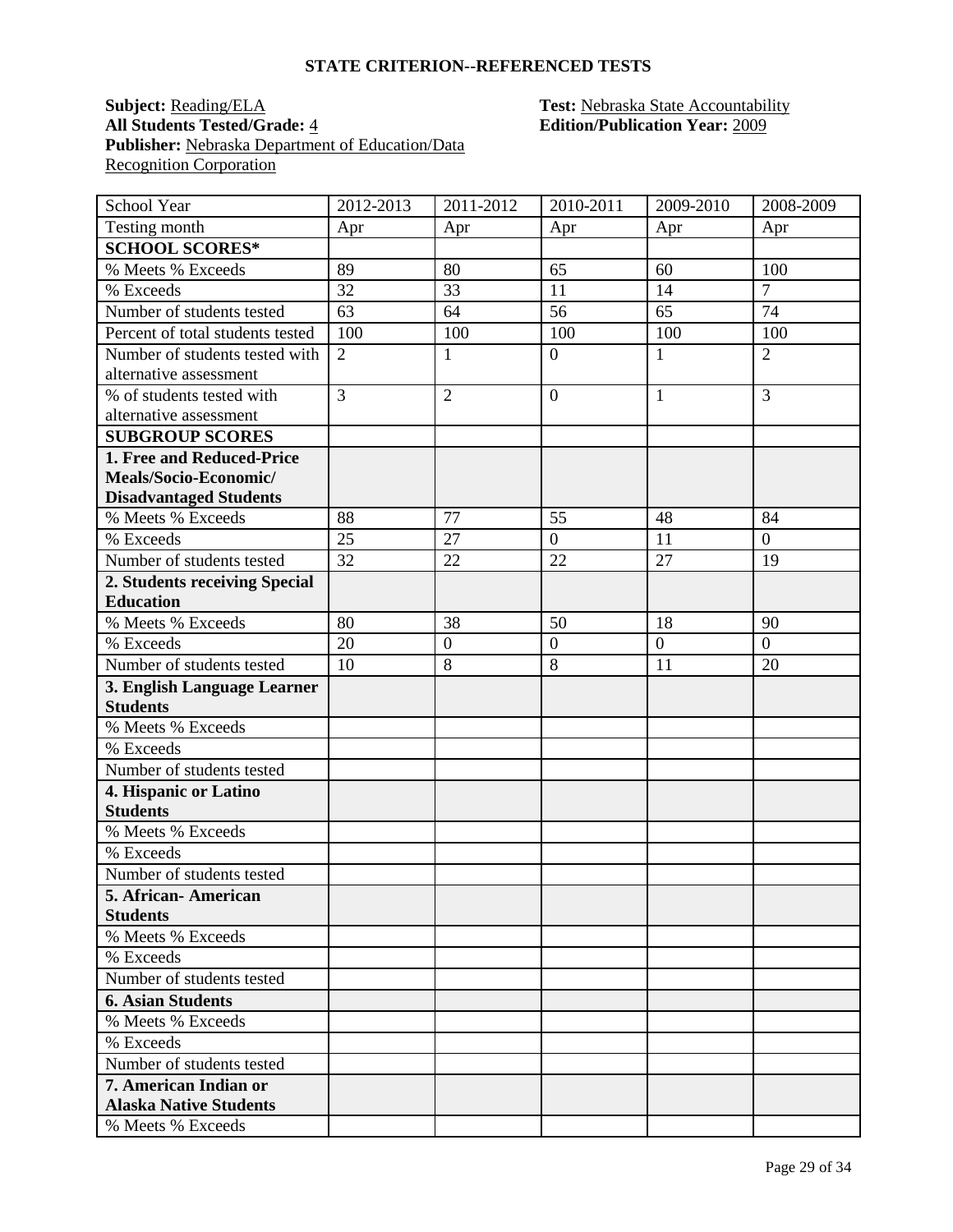#### **Subject: Reading/ELA Test: Nebraska State Accountability All Students Tested/Grade:** 4 **Edition/Publication Year:** 2009 Publisher: Nebraska Department of Education/Data **Recognition Corporation**

| School Year                                              | 2012-2013      | $2011 - 2012$    | 2010-2011        | 2009-2010      | 2008-2009      |
|----------------------------------------------------------|----------------|------------------|------------------|----------------|----------------|
| Testing month                                            | Apr            | Apr              | Apr              | Apr            | Apr            |
| <b>SCHOOL SCORES*</b>                                    |                |                  |                  |                |                |
| % Meets % Exceeds                                        | 89             | 80               | 65               | 60             | 100            |
| % Exceeds                                                | 32             | 33               | 11               | 14             | $\overline{7}$ |
| Number of students tested                                | 63             | 64               | 56               | 65             | 74             |
| Percent of total students tested                         | 100            | 100              | 100              | 100            | 100            |
| Number of students tested with<br>alternative assessment | $\overline{2}$ | $\mathbf{1}$     | $\overline{0}$   | $\mathbf{1}$   | $\overline{2}$ |
| % of students tested with                                | $\overline{3}$ | $\overline{2}$   | $\overline{0}$   | $\mathbf{1}$   | 3              |
| alternative assessment                                   |                |                  |                  |                |                |
| <b>SUBGROUP SCORES</b>                                   |                |                  |                  |                |                |
| 1. Free and Reduced-Price<br>Meals/Socio-Economic/       |                |                  |                  |                |                |
| <b>Disadvantaged Students</b>                            |                |                  |                  |                |                |
| % Meets % Exceeds                                        | 88             | 77               | $5\overline{5}$  | 48             | 84             |
| % Exceeds                                                | 25             | 27               | $\overline{0}$   | 11             | $\overline{0}$ |
| Number of students tested                                | 32             | 22               | 22               | 27             | 19             |
| 2. Students receiving Special                            |                |                  |                  |                |                |
| <b>Education</b>                                         |                |                  |                  |                |                |
| % Meets % Exceeds                                        | 80             | 38               | 50               | 18             | 90             |
| % Exceeds                                                | 20             | $\boldsymbol{0}$ | $\boldsymbol{0}$ | $\overline{0}$ | $\overline{0}$ |
| Number of students tested                                | 10             | 8                | 8                | 11             | 20             |
| 3. English Language Learner                              |                |                  |                  |                |                |
| <b>Students</b>                                          |                |                  |                  |                |                |
| % Meets % Exceeds                                        |                |                  |                  |                |                |
| % Exceeds                                                |                |                  |                  |                |                |
| Number of students tested                                |                |                  |                  |                |                |
| 4. Hispanic or Latino                                    |                |                  |                  |                |                |
| <b>Students</b>                                          |                |                  |                  |                |                |
| % Meets % Exceeds                                        |                |                  |                  |                |                |
| % Exceeds                                                |                |                  |                  |                |                |
| Number of students tested                                |                |                  |                  |                |                |
| 5. African-American                                      |                |                  |                  |                |                |
| <b>Students</b>                                          |                |                  |                  |                |                |
| % Meets % Exceeds                                        |                |                  |                  |                |                |
| % Exceeds                                                |                |                  |                  |                |                |
| Number of students tested                                |                |                  |                  |                |                |
| <b>6. Asian Students</b><br>% Meets % Exceeds            |                |                  |                  |                |                |
| % Exceeds                                                |                |                  |                  |                |                |
| Number of students tested                                |                |                  |                  |                |                |
| <b>7. American Indian or</b>                             |                |                  |                  |                |                |
| <b>Alaska Native Students</b>                            |                |                  |                  |                |                |
| % Meets % Exceeds                                        |                |                  |                  |                |                |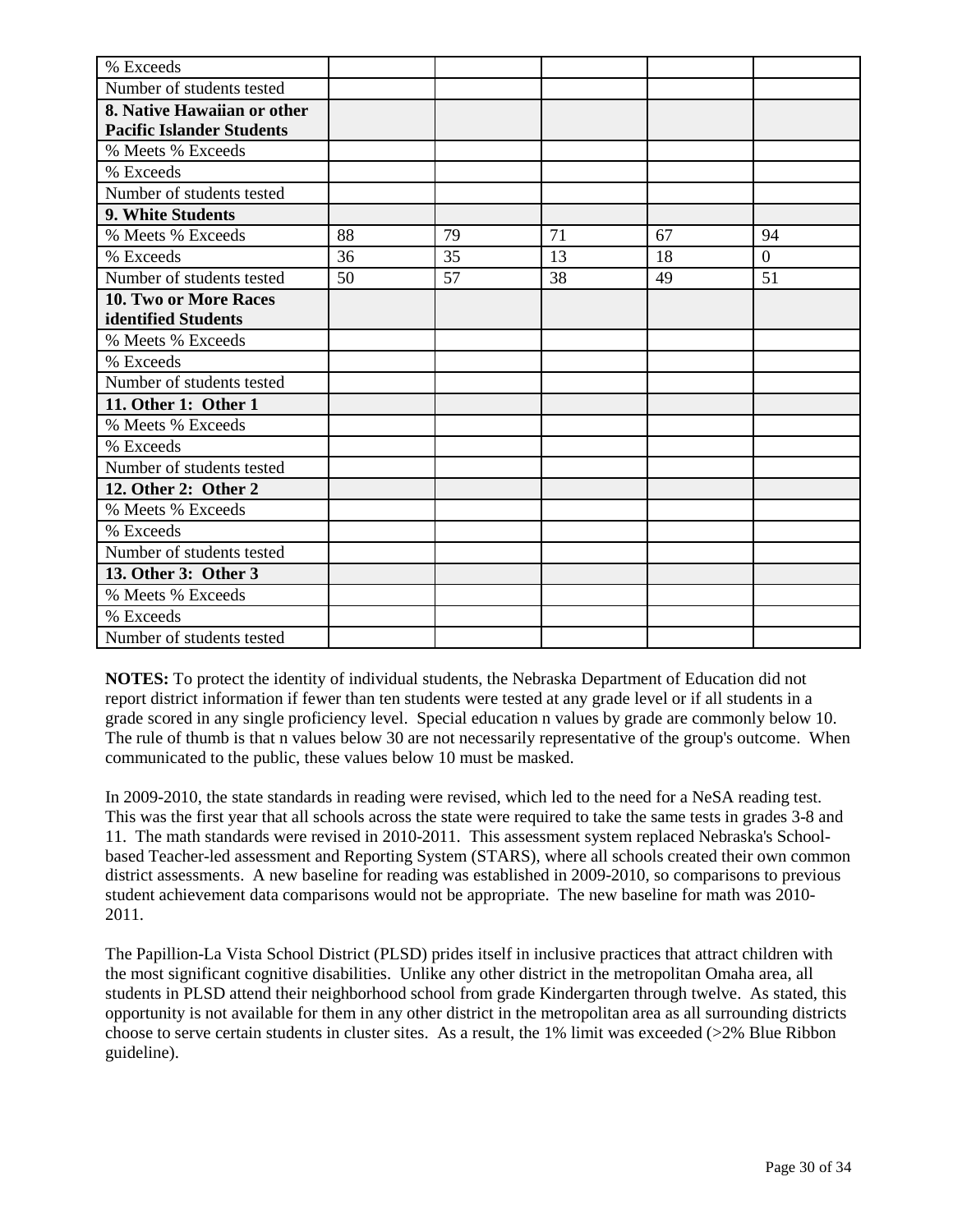| % Exceeds                                                       |    |    |    |    |          |
|-----------------------------------------------------------------|----|----|----|----|----------|
| Number of students tested                                       |    |    |    |    |          |
| 8. Native Hawaiian or other<br><b>Pacific Islander Students</b> |    |    |    |    |          |
| % Meets % Exceeds                                               |    |    |    |    |          |
| % Exceeds                                                       |    |    |    |    |          |
| Number of students tested                                       |    |    |    |    |          |
| 9. White Students                                               |    |    |    |    |          |
| % Meets % Exceeds                                               | 88 | 79 | 71 | 67 | 94       |
| % Exceeds                                                       | 36 | 35 | 13 | 18 | $\Omega$ |
| Number of students tested                                       | 50 | 57 | 38 | 49 | 51       |
| 10. Two or More Races<br>identified Students                    |    |    |    |    |          |
| % Meets % Exceeds                                               |    |    |    |    |          |
| % Exceeds                                                       |    |    |    |    |          |
| Number of students tested                                       |    |    |    |    |          |
| 11. Other 1: Other 1                                            |    |    |    |    |          |
| % Meets % Exceeds                                               |    |    |    |    |          |
| % Exceeds                                                       |    |    |    |    |          |
| Number of students tested                                       |    |    |    |    |          |
| 12. Other 2: Other 2                                            |    |    |    |    |          |
| % Meets % Exceeds                                               |    |    |    |    |          |
| % Exceeds                                                       |    |    |    |    |          |
| Number of students tested                                       |    |    |    |    |          |
| 13. Other 3: Other 3                                            |    |    |    |    |          |
| % Meets % Exceeds                                               |    |    |    |    |          |
| % Exceeds                                                       |    |    |    |    |          |
| Number of students tested                                       |    |    |    |    |          |

In 2009-2010, the state standards in reading were revised, which led to the need for a NeSA reading test. This was the first year that all schools across the state were required to take the same tests in grades 3-8 and 11. The math standards were revised in 2010-2011. This assessment system replaced Nebraska's Schoolbased Teacher-led assessment and Reporting System (STARS), where all schools created their own common district assessments. A new baseline for reading was established in 2009-2010, so comparisons to previous student achievement data comparisons would not be appropriate. The new baseline for math was 2010- 2011.

The Papillion-La Vista School District (PLSD) prides itself in inclusive practices that attract children with the most significant cognitive disabilities. Unlike any other district in the metropolitan Omaha area, all students in PLSD attend their neighborhood school from grade Kindergarten through twelve. As stated, this opportunity is not available for them in any other district in the metropolitan area as all surrounding districts choose to serve certain students in cluster sites. As a result, the 1% limit was exceeded (>2% Blue Ribbon guideline).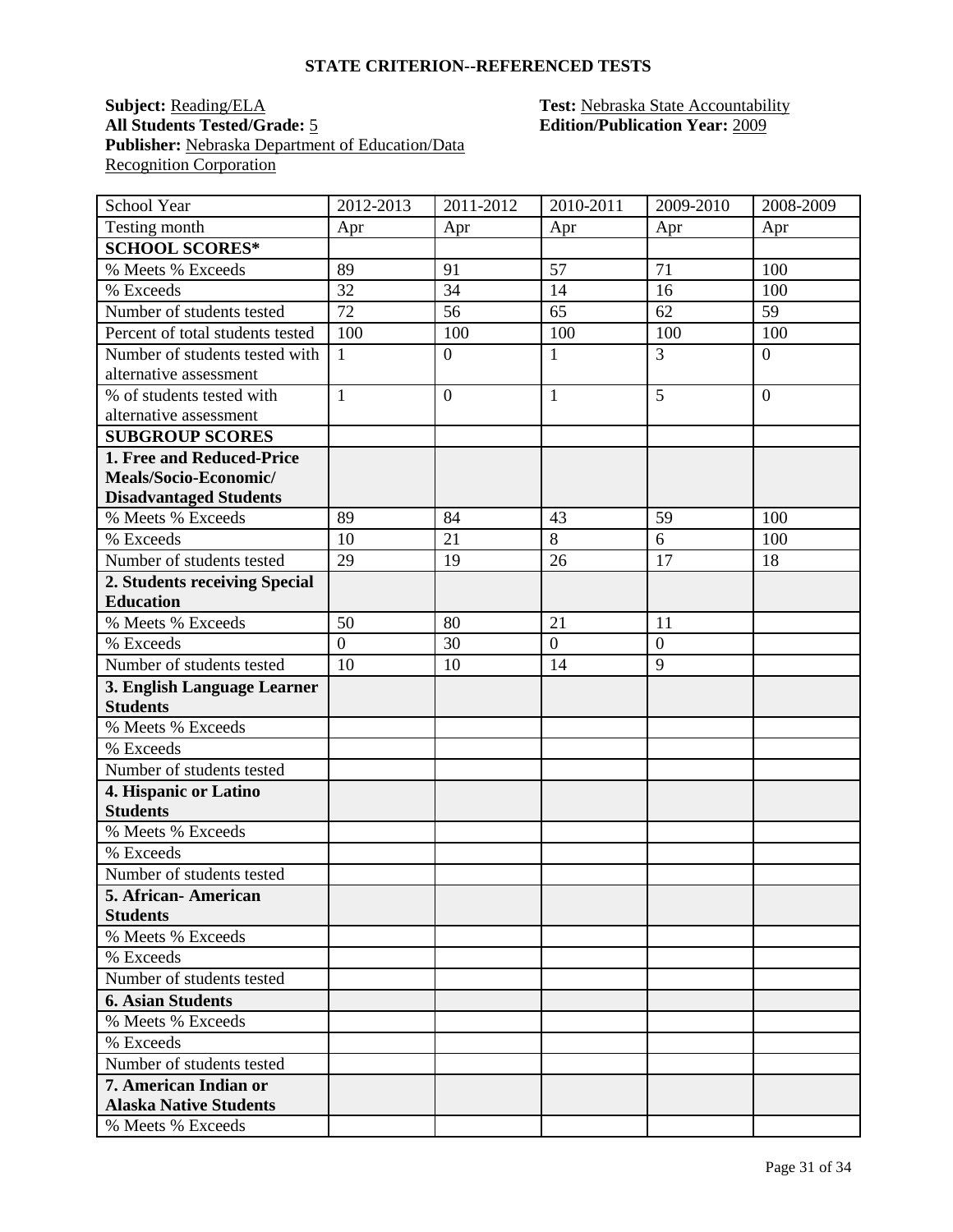#### **Subject: Reading/ELA Test: Nebraska State Accountability All Students Tested/Grade:** 5 **Edition/Publication Year:** 2009 Publisher: Nebraska Department of Education/Data **Recognition Corporation**

| School Year                                         | 2012-2013      | $2011 - 2012$    | 2010-2011    | 2009-2010      | 2008-2009      |
|-----------------------------------------------------|----------------|------------------|--------------|----------------|----------------|
| Testing month                                       | Apr            | Apr              | Apr          | Apr            | Apr            |
| <b>SCHOOL SCORES*</b>                               |                |                  |              |                |                |
| % Meets % Exceeds                                   | 89             | 91               | 57           | 71             | 100            |
| % Exceeds                                           | 32             | 34               | 14           | 16             | 100            |
| Number of students tested                           | 72             | 56               | 65           | 62             | 59             |
| Percent of total students tested                    | 100            | 100              | 100          | 100            | 100            |
| Number of students tested with                      | $\mathbf{1}$   | $\boldsymbol{0}$ | $\mathbf{1}$ | 3              | $\overline{0}$ |
| alternative assessment                              |                |                  |              |                |                |
| % of students tested with<br>alternative assessment | $\mathbf{1}$   | $\overline{0}$   | $\mathbf{1}$ | 5              | $\overline{0}$ |
| <b>SUBGROUP SCORES</b>                              |                |                  |              |                |                |
| 1. Free and Reduced-Price                           |                |                  |              |                |                |
| Meals/Socio-Economic/                               |                |                  |              |                |                |
| <b>Disadvantaged Students</b>                       |                |                  |              |                |                |
| % Meets % Exceeds                                   | 89             | 84               | 43           | 59             | 100            |
| % Exceeds                                           | 10             | 21               | 8            | 6              | 100            |
| Number of students tested                           | 29             | 19               | 26           | 17             | 18             |
| 2. Students receiving Special                       |                |                  |              |                |                |
| <b>Education</b>                                    |                |                  |              |                |                |
| % Meets % Exceeds                                   | 50             | 80               | 21           | 11             |                |
| % Exceeds                                           | $\overline{0}$ | 30               | $\mathbf{0}$ | $\overline{0}$ |                |
| Number of students tested                           | 10             | 10               | 14           | 9              |                |
| 3. English Language Learner                         |                |                  |              |                |                |
| <b>Students</b>                                     |                |                  |              |                |                |
| % Meets % Exceeds                                   |                |                  |              |                |                |
| % Exceeds                                           |                |                  |              |                |                |
| Number of students tested                           |                |                  |              |                |                |
| 4. Hispanic or Latino                               |                |                  |              |                |                |
| <b>Students</b>                                     |                |                  |              |                |                |
| % Meets % Exceeds                                   |                |                  |              |                |                |
| % Exceeds                                           |                |                  |              |                |                |
| Number of students tested                           |                |                  |              |                |                |
| 5. African-American                                 |                |                  |              |                |                |
| <b>Students</b><br>% Meets % Exceeds                |                |                  |              |                |                |
|                                                     |                |                  |              |                |                |
| % Exceeds<br>Number of students tested              |                |                  |              |                |                |
| <b>6. Asian Students</b>                            |                |                  |              |                |                |
| % Meets % Exceeds                                   |                |                  |              |                |                |
| % Exceeds                                           |                |                  |              |                |                |
| Number of students tested                           |                |                  |              |                |                |
| <b>7. American Indian or</b>                        |                |                  |              |                |                |
| <b>Alaska Native Students</b>                       |                |                  |              |                |                |
| % Meets % Exceeds                                   |                |                  |              |                |                |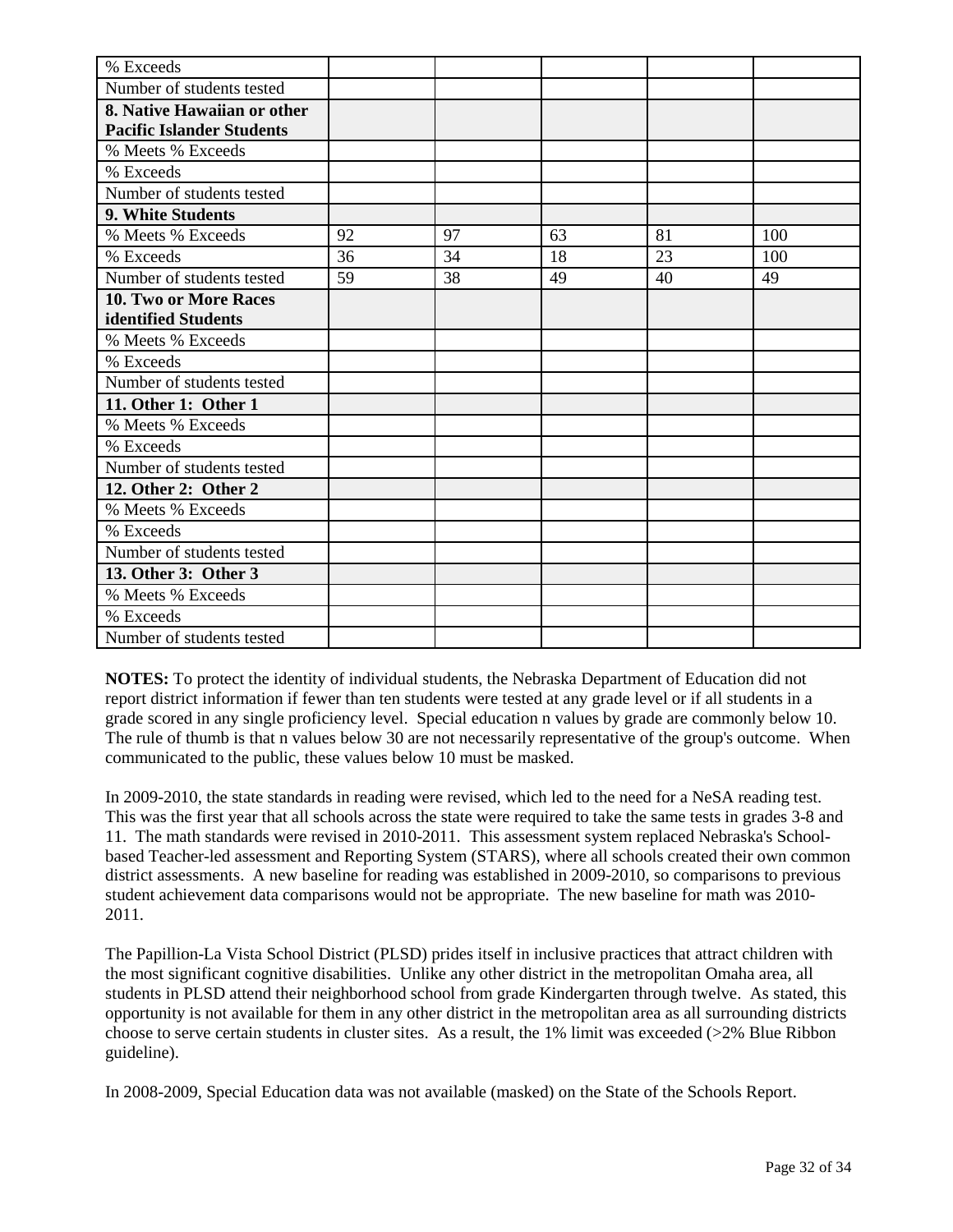| % Exceeds                                                       |    |    |    |    |     |
|-----------------------------------------------------------------|----|----|----|----|-----|
| Number of students tested                                       |    |    |    |    |     |
| 8. Native Hawaiian or other<br><b>Pacific Islander Students</b> |    |    |    |    |     |
| % Meets % Exceeds                                               |    |    |    |    |     |
| % Exceeds                                                       |    |    |    |    |     |
| Number of students tested                                       |    |    |    |    |     |
| 9. White Students                                               |    |    |    |    |     |
| % Meets % Exceeds                                               | 92 | 97 | 63 | 81 | 100 |
| % Exceeds                                                       | 36 | 34 | 18 | 23 | 100 |
| Number of students tested                                       | 59 | 38 | 49 | 40 | 49  |
| 10. Two or More Races<br>identified Students                    |    |    |    |    |     |
| % Meets % Exceeds                                               |    |    |    |    |     |
| % Exceeds                                                       |    |    |    |    |     |
| Number of students tested                                       |    |    |    |    |     |
| 11. Other 1: Other 1                                            |    |    |    |    |     |
| % Meets % Exceeds                                               |    |    |    |    |     |
| % Exceeds                                                       |    |    |    |    |     |
| Number of students tested                                       |    |    |    |    |     |
| 12. Other 2: Other 2                                            |    |    |    |    |     |
| % Meets % Exceeds                                               |    |    |    |    |     |
| % Exceeds                                                       |    |    |    |    |     |
| Number of students tested                                       |    |    |    |    |     |
| 13. Other 3: Other 3                                            |    |    |    |    |     |
| % Meets % Exceeds                                               |    |    |    |    |     |
| % Exceeds                                                       |    |    |    |    |     |
| Number of students tested                                       |    |    |    |    |     |

In 2009-2010, the state standards in reading were revised, which led to the need for a NeSA reading test. This was the first year that all schools across the state were required to take the same tests in grades 3-8 and 11. The math standards were revised in 2010-2011. This assessment system replaced Nebraska's Schoolbased Teacher-led assessment and Reporting System (STARS), where all schools created their own common district assessments. A new baseline for reading was established in 2009-2010, so comparisons to previous student achievement data comparisons would not be appropriate. The new baseline for math was 2010- 2011.

The Papillion-La Vista School District (PLSD) prides itself in inclusive practices that attract children with the most significant cognitive disabilities. Unlike any other district in the metropolitan Omaha area, all students in PLSD attend their neighborhood school from grade Kindergarten through twelve. As stated, this opportunity is not available for them in any other district in the metropolitan area as all surrounding districts choose to serve certain students in cluster sites. As a result, the 1% limit was exceeded (>2% Blue Ribbon guideline).

In 2008-2009, Special Education data was not available (masked) on the State of the Schools Report.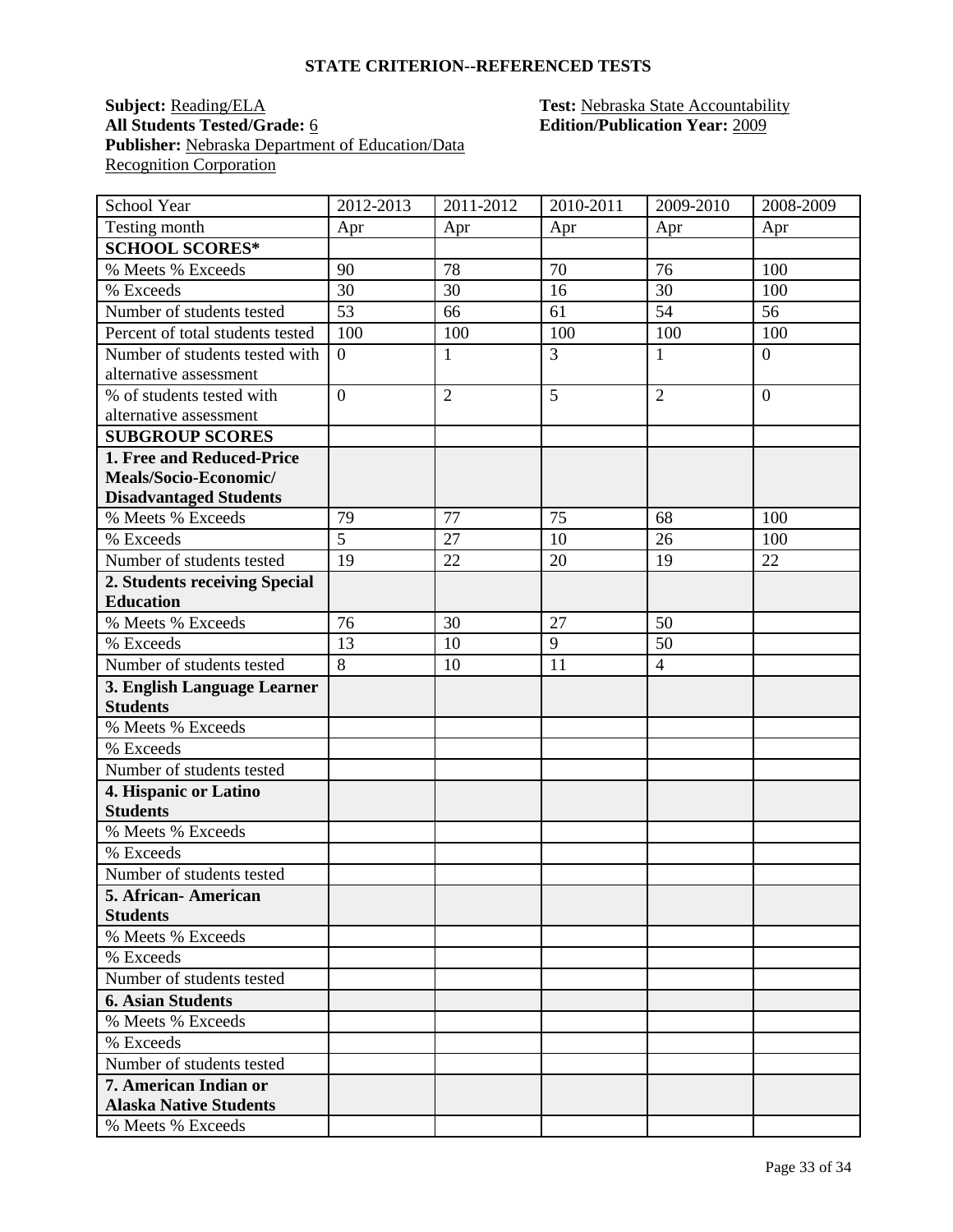#### **Subject: Reading/ELA Test: Nebraska State Accountability** All Students Tested/Grade: <u>6</u> **Edition/Publication Year:** 2009 **Publisher:** Nebraska Department of Education/Data **Recognition Corporation**

| School Year                                                   | 2012-2013        | 2011-2012      | 2010-2011      | 2009-2010      | 2008-2009      |
|---------------------------------------------------------------|------------------|----------------|----------------|----------------|----------------|
| Testing month                                                 | Apr              | Apr            | Apr            | Apr            | Apr            |
| <b>SCHOOL SCORES*</b>                                         |                  |                |                |                |                |
| % Meets % Exceeds                                             | 90               | 78             | 70             | 76             | 100            |
| % Exceeds                                                     | 30               | 30             | 16             | 30             | 100            |
| Number of students tested                                     | 53               | 66             | 61             | 54             | 56             |
| Percent of total students tested                              | 100              | 100            | 100            | 100            | 100            |
| Number of students tested with<br>alternative assessment      | $\boldsymbol{0}$ | $\mathbf{1}$   | $\overline{3}$ | $\mathbf{1}$   | $\overline{0}$ |
| % of students tested with                                     | $\overline{0}$   | $\overline{2}$ | 5              | $\overline{2}$ | $\overline{0}$ |
| alternative assessment                                        |                  |                |                |                |                |
| <b>SUBGROUP SCORES</b><br>1. Free and Reduced-Price           |                  |                |                |                |                |
| Meals/Socio-Economic/                                         |                  |                |                |                |                |
| <b>Disadvantaged Students</b>                                 |                  |                |                |                |                |
| % Meets % Exceeds                                             | 79               | 77             | 75             | 68             | 100            |
| % Exceeds                                                     | $\overline{5}$   | 27             | 10             | 26             | 100            |
| Number of students tested                                     | 19               | 22             | 20             | 19             | 22             |
| 2. Students receiving Special                                 |                  |                |                |                |                |
| <b>Education</b>                                              |                  |                |                |                |                |
| % Meets % Exceeds                                             | 76               | 30             | 27             | 50             |                |
| % Exceeds                                                     | 13               | 10             | 9              | 50             |                |
| Number of students tested                                     | $\overline{8}$   | 10             | 11             | $\overline{4}$ |                |
| 3. English Language Learner                                   |                  |                |                |                |                |
| <b>Students</b>                                               |                  |                |                |                |                |
| % Meets % Exceeds                                             |                  |                |                |                |                |
| % Exceeds                                                     |                  |                |                |                |                |
| Number of students tested                                     |                  |                |                |                |                |
| 4. Hispanic or Latino                                         |                  |                |                |                |                |
| <b>Students</b>                                               |                  |                |                |                |                |
| % Meets % Exceeds                                             |                  |                |                |                |                |
| % Exceeds                                                     |                  |                |                |                |                |
| Number of students tested                                     |                  |                |                |                |                |
| 5. African-American                                           |                  |                |                |                |                |
| <b>Students</b>                                               |                  |                |                |                |                |
| % Meets % Exceeds                                             |                  |                |                |                |                |
| % Exceeds                                                     |                  |                |                |                |                |
| Number of students tested                                     |                  |                |                |                |                |
| <b>6. Asian Students</b>                                      |                  |                |                |                |                |
| % Meets % Exceeds                                             |                  |                |                |                |                |
| % Exceeds                                                     |                  |                |                |                |                |
| Number of students tested                                     |                  |                |                |                |                |
| <b>7. American Indian or</b><br><b>Alaska Native Students</b> |                  |                |                |                |                |
| % Meets % Exceeds                                             |                  |                |                |                |                |
|                                                               |                  |                |                |                |                |